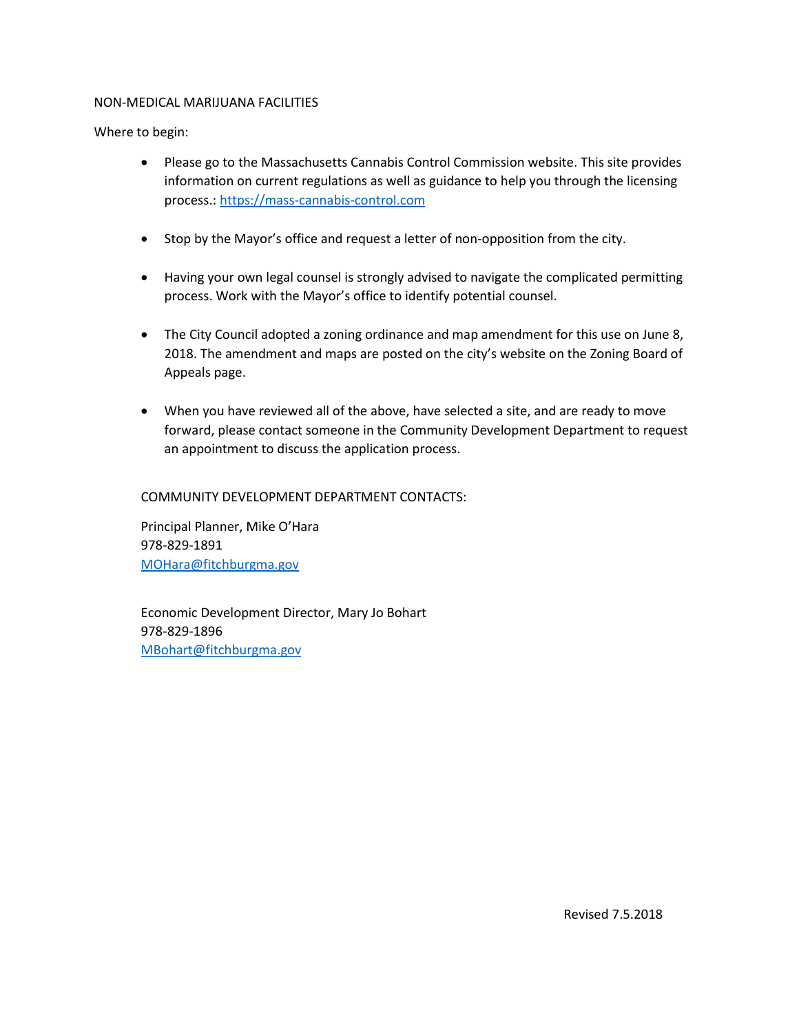#### NON-MEDICAL MARIJUANA FACILITIES

Where to begin:

- Please go to the Massachusetts Cannabis Control Commission website. This site provides information on current regulations as well as guidance to help you through the licensing process.: [https://mass-cannabis-control.com](https://mass-cannabis-control.com/)
- Stop by the Mayor's office and request a letter of non-opposition from the city.
- Having your own legal counsel is strongly advised to navigate the complicated permitting process. Work with the Mayor's office to identify potential counsel.
- The City Council adopted a zoning ordinance and map amendment for this use on June 8, 2018. The amendment and maps are posted on the city's website on the Zoning Board of Appeals page.
- When you have reviewed all of the above, have selected a site, and are ready to move forward, please contact someone in the Community Development Department to request an appointment to discuss the application process.

#### COMMUNITY DEVELOPMENT DEPARTMENT CONTACTS:

Principal Planner, Mike O'Hara 978-829-1891 [MOHara@fitchburgma.gov](mailto:MOHara@fitchburgma.gov) 

 Economic Development Director, Mary Jo Bohart 978-829-1896 [MBohart@fitchburgma.gov](mailto:MBohart@fitchburgma.gov)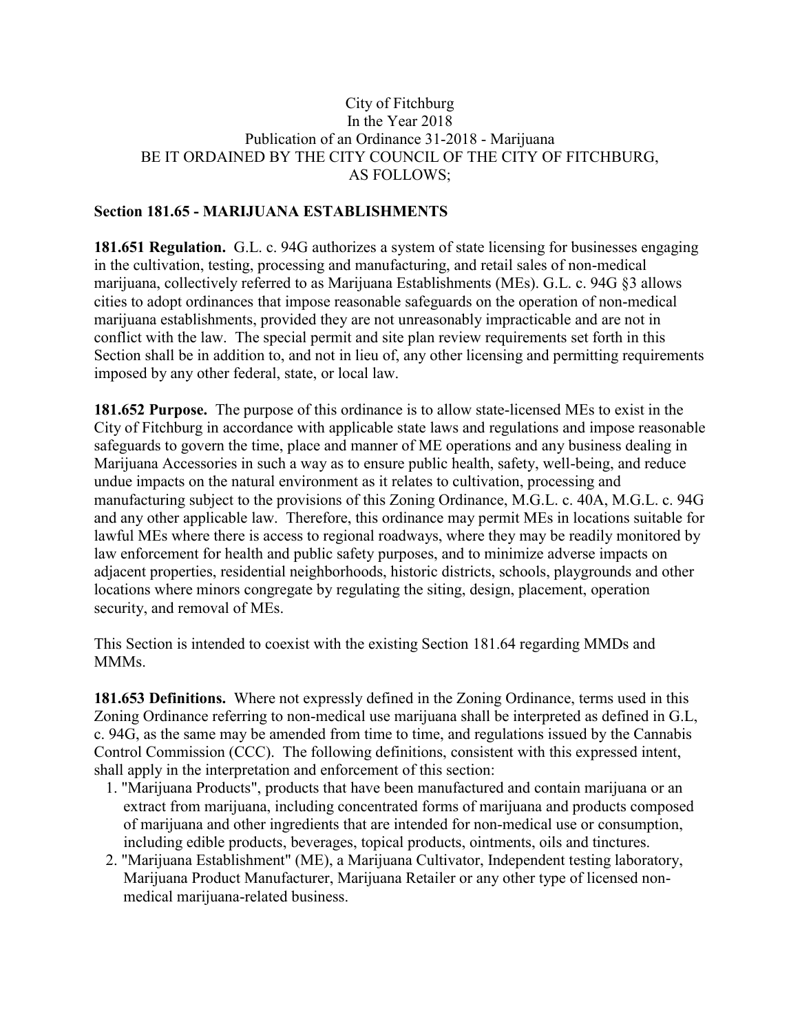### City of Fitchburg In the Year 2018 Publication of an Ordinance 31-2018 - Marijuana BE IT ORDAINED BY THE CITY COUNCIL OF THE CITY OF FITCHBURG, AS FOLLOWS;

#### **Section 181.65 - MARIJUANA ESTABLISHMENTS**

**181.651 Regulation.** G.L. c. 94G authorizes a system of state licensing for businesses engaging in the cultivation, testing, processing and manufacturing, and retail sales of non-medical marijuana, collectively referred to as Marijuana Establishments (MEs). G.L. c. 94G §3 allows cities to adopt ordinances that impose reasonable safeguards on the operation of non-medical marijuana establishments, provided they are not unreasonably impracticable and are not in conflict with the law. The special permit and site plan review requirements set forth in this Section shall be in addition to, and not in lieu of, any other licensing and permitting requirements imposed by any other federal, state, or local law.

**181.652 Purpose.** The purpose of this ordinance is to allow state-licensed MEs to exist in the City of Fitchburg in accordance with applicable state laws and regulations and impose reasonable safeguards to govern the time, place and manner of ME operations and any business dealing in Marijuana Accessories in such a way as to ensure public health, safety, well-being, and reduce undue impacts on the natural environment as it relates to cultivation, processing and manufacturing subject to the provisions of this Zoning Ordinance, M.G.L. c. 40A, M.G.L. c. 94G and any other applicable law. Therefore, this ordinance may permit MEs in locations suitable for lawful MEs where there is access to regional roadways, where they may be readily monitored by law enforcement for health and public safety purposes, and to minimize adverse impacts on adjacent properties, residential neighborhoods, historic districts, schools, playgrounds and other locations where minors congregate by regulating the siting, design, placement, operation security, and removal of MEs.

This Section is intended to coexist with the existing Section 181.64 regarding MMDs and **MMMs**.

**181.653 Definitions.** Where not expressly defined in the Zoning Ordinance, terms used in this Zoning Ordinance referring to non-medical use marijuana shall be interpreted as defined in G.L, c. 94G, as the same may be amended from time to time, and regulations issued by the Cannabis Control Commission (CCC). The following definitions, consistent with this expressed intent, shall apply in the interpretation and enforcement of this section:

- 1. "Marijuana Products", products that have been manufactured and contain marijuana or an extract from marijuana, including concentrated forms of marijuana and products composed of marijuana and other ingredients that are intended for non-medical use or consumption, including edible products, beverages, topical products, ointments, oils and tinctures.
- 2. "Marijuana Establishment" (ME), a Marijuana Cultivator, Independent testing laboratory, Marijuana Product Manufacturer, Marijuana Retailer or any other type of licensed nonmedical marijuana-related business.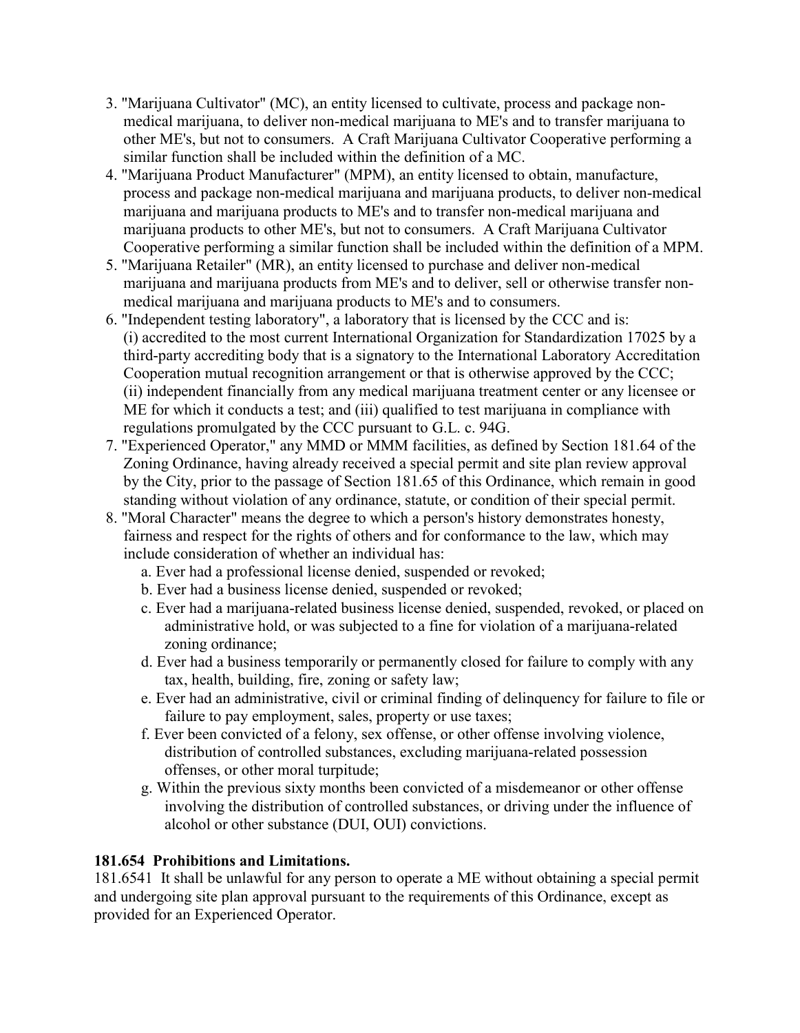- 3. "Marijuana Cultivator" (MC), an entity licensed to cultivate, process and package nonmedical marijuana, to deliver non-medical marijuana to ME's and to transfer marijuana to other ME's, but not to consumers. A Craft Marijuana Cultivator Cooperative performing a similar function shall be included within the definition of a MC.
- 4. "Marijuana Product Manufacturer" (MPM), an entity licensed to obtain, manufacture, process and package non-medical marijuana and marijuana products, to deliver non-medical marijuana and marijuana products to ME's and to transfer non-medical marijuana and marijuana products to other ME's, but not to consumers. A Craft Marijuana Cultivator Cooperative performing a similar function shall be included within the definition of a MPM.
- 5. "Marijuana Retailer" (MR), an entity licensed to purchase and deliver non-medical marijuana and marijuana products from ME's and to deliver, sell or otherwise transfer nonmedical marijuana and marijuana products to ME's and to consumers.
- 6. "Independent testing laboratory", a laboratory that is licensed by the CCC and is: (i) accredited to the most current International Organization for Standardization 17025 by a third-party accrediting body that is a signatory to the International Laboratory Accreditation Cooperation mutual recognition arrangement or that is otherwise approved by the CCC; (ii) independent financially from any medical marijuana treatment center or any licensee or ME for which it conducts a test; and (iii) qualified to test marijuana in compliance with regulations promulgated by the CCC pursuant to G.L. c. 94G.
- 7. "Experienced Operator," any MMD or MMM facilities, as defined by Section 181.64 of the Zoning Ordinance, having already received a special permit and site plan review approval by the City, prior to the passage of Section 181.65 of this Ordinance, which remain in good standing without violation of any ordinance, statute, or condition of their special permit.
- 8. "Moral Character" means the degree to which a person's history demonstrates honesty, fairness and respect for the rights of others and for conformance to the law, which may include consideration of whether an individual has:
	- a. Ever had a professional license denied, suspended or revoked;
	- b. Ever had a business license denied, suspended or revoked;
	- c. Ever had a marijuana-related business license denied, suspended, revoked, or placed on administrative hold, or was subjected to a fine for violation of a marijuana-related zoning ordinance;
	- d. Ever had a business temporarily or permanently closed for failure to comply with any tax, health, building, fire, zoning or safety law;
	- e. Ever had an administrative, civil or criminal finding of delinquency for failure to file or failure to pay employment, sales, property or use taxes;
	- f. Ever been convicted of a felony, sex offense, or other offense involving violence, distribution of controlled substances, excluding marijuana-related possession offenses, or other moral turpitude;
	- g. Within the previous sixty months been convicted of a misdemeanor or other offense involving the distribution of controlled substances, or driving under the influence of alcohol or other substance (DUI, OUI) convictions.

# **181.654 Prohibitions and Limitations.**

181.6541 It shall be unlawful for any person to operate a ME without obtaining a special permit and undergoing site plan approval pursuant to the requirements of this Ordinance, except as provided for an Experienced Operator.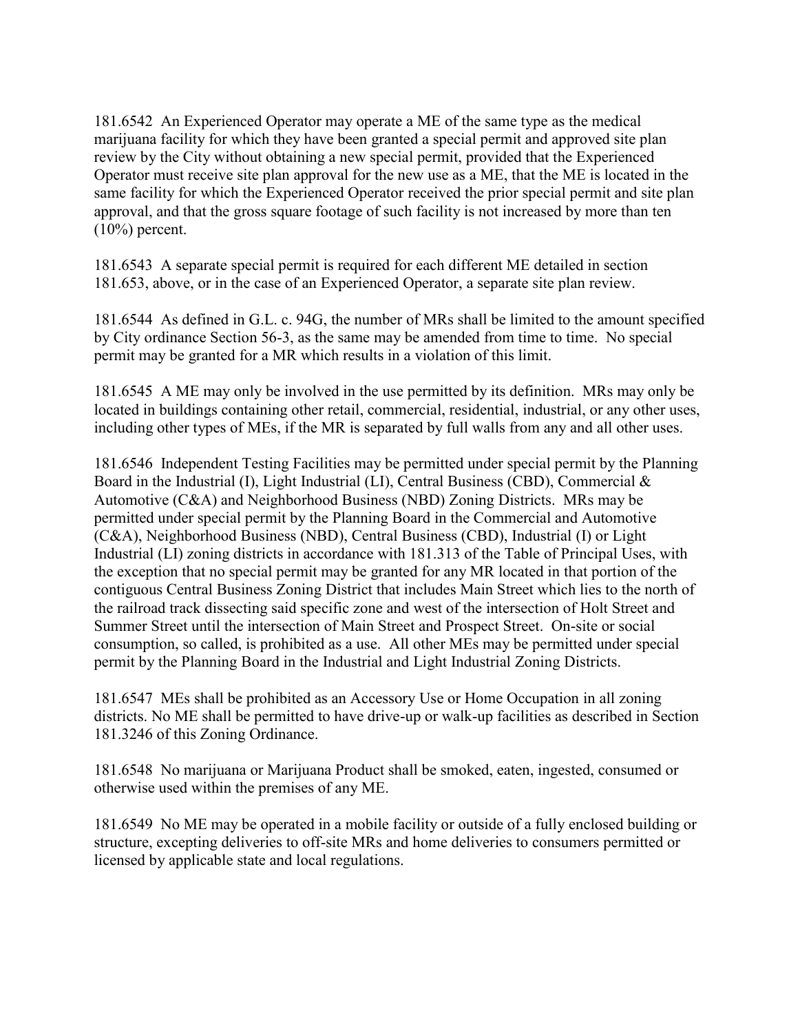181.6542 An Experienced Operator may operate a ME of the same type as the medical marijuana facility for which they have been granted a special permit and approved site plan review by the City without obtaining a new special permit, provided that the Experienced Operator must receive site plan approval for the new use as a ME, that the ME is located in the same facility for which the Experienced Operator received the prior special permit and site plan approval, and that the gross square footage of such facility is not increased by more than ten  $(10\%)$  percent.

181.6543 A separate special permit is required for each different ME detailed in section 181.653, above, or in the case of an Experienced Operator, a separate site plan review.

181.6544 As defined in G.L. c. 94G, the number of MRs shall be limited to the amount specified by City ordinance Section 56-3, as the same may be amended from time to time. No special permit may be granted for a MR which results in a violation of this limit.

181.6545 A ME may only be involved in the use permitted by its definition. MRs may only be located in buildings containing other retail, commercial, residential, industrial, or any other uses, including other types of MEs, if the MR is separated by full walls from any and all other uses.

181.6546 Independent Testing Facilities may be permitted under special permit by the Planning Board in the Industrial (I), Light Industrial (LI), Central Business (CBD), Commercial  $\&$ Automotive (C&A) and Neighborhood Business (NBD) Zoning Districts. MRs may be permitted under special permit by the Planning Board in the Commercial and Automotive (C&A), Neighborhood Business (NBD), Central Business (CBD), Industrial (I) or Light Industrial (LI) zoning districts in accordance with 181.313 of the Table of Principal Uses, with the exception that no special permit may be granted for any MR located in that portion of the contiguous Central Business Zoning District that includes Main Street which lies to the north of the railroad track dissecting said specific zone and west of the intersection of Holt Street and Summer Street until the intersection of Main Street and Prospect Street. On-site or social consumption, so called, is prohibited as a use. All other MEs may be permitted under special permit by the Planning Board in the Industrial and Light Industrial Zoning Districts.

181.6547 MEs shall be prohibited as an Accessory Use or Home Occupation in all zoning districts. No ME shall be permitted to have drive-up or walk-up facilities as described in Section 181.3246 of this Zoning Ordinance.

181.6548 No marijuana or Marijuana Product shall be smoked, eaten, ingested, consumed or otherwise used within the premises of any ME.

181.6549 No ME may be operated in a mobile facility or outside of a fully enclosed building or structure, excepting deliveries to off-site MRs and home deliveries to consumers permitted or licensed by applicable state and local regulations.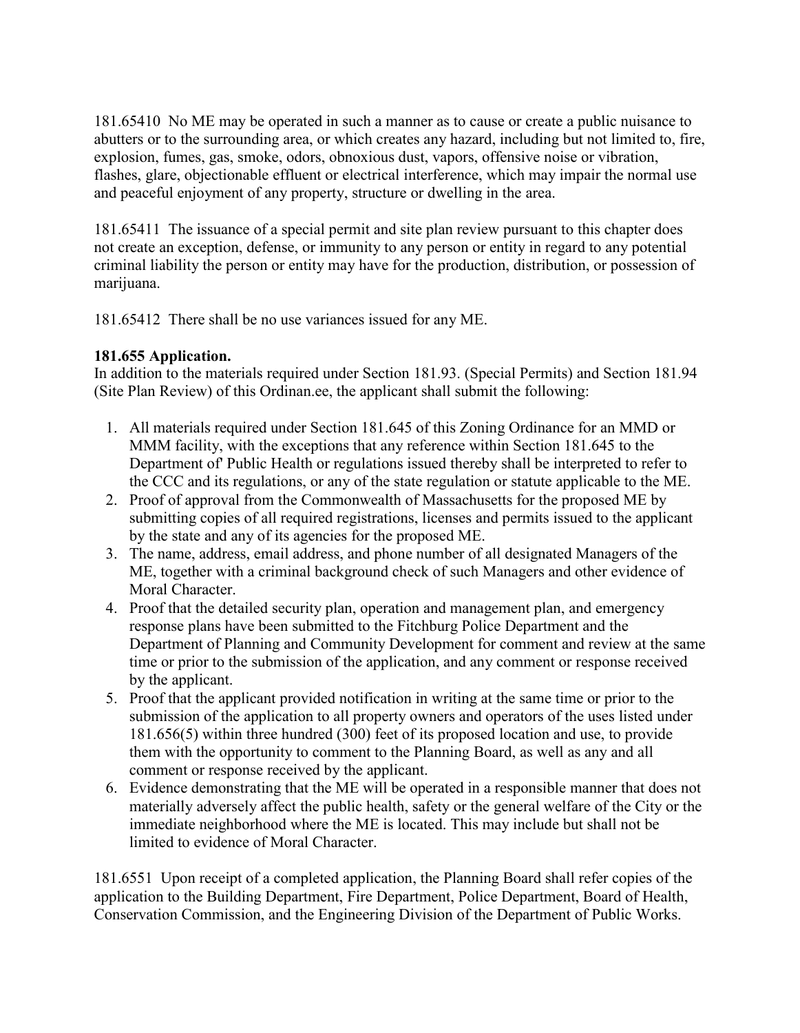181.65410 No ME may be operated in such a manner as to cause or create a public nuisance to abutters or to the surrounding area, or which creates any hazard, including but not limited to, fire, explosion, fumes, gas, smoke, odors, obnoxious dust, vapors, offensive noise or vibration, flashes, glare, objectionable effluent or electrical interference, which may impair the normal use and peaceful enjoyment of any property, structure or dwelling in the area.

181.65411 The issuance of a special permit and site plan review pursuant to this chapter does not create an exception, defense, or immunity to any person or entity in regard to any potential criminal liability the person or entity may have for the production, distribution, or possession of marijuana.

181.65412 There shall be no use variances issued for any ME.

# **181.655 Application.**

In addition to the materials required under Section 181.93. (Special Permits) and Section 181.94 (Site Plan Review) of this Ordinan.ee, the applicant shall submit the following:

- 1. All materials required under Section 181.645 of this Zoning Ordinance for an MMD or MMM facility, with the exceptions that any reference within Section 181.645 to the Department of' Public Health or regulations issued thereby shall be interpreted to refer to the CCC and its regulations, or any of the state regulation or statute applicable to the ME.
- 2. Proof of approval from the Commonwealth of Massachusetts for the proposed ME by submitting copies of all required registrations, licenses and permits issued to the applicant by the state and any of its agencies for the proposed ME.
- 3. The name, address, email address, and phone number of all designated Managers of the ME, together with a criminal background check of such Managers and other evidence of Moral Character.
- 4. Proof that the detailed security plan, operation and management plan, and emergency response plans have been submitted to the Fitchburg Police Department and the Department of Planning and Community Development for comment and review at the same time or prior to the submission of the application, and any comment or response received by the applicant.
- 5. Proof that the applicant provided notification in writing at the same time or prior to the submission of the application to all property owners and operators of the uses listed under 181.656(5) within three hundred (300) feet of its proposed location and use, to provide them with the opportunity to comment to the Planning Board, as well as any and all comment or response received by the applicant.
- 6. Evidence demonstrating that the ME will be operated in a responsible manner that does not materially adversely affect the public health, safety or the general welfare of the City or the immediate neighborhood where the ME is located. This may include but shall not be limited to evidence of Moral Character.

181.6551 Upon receipt of a completed application, the Planning Board shall refer copies of the application to the Building Department, Fire Department, Police Department, Board of Health, Conservation Commission, and the Engineering Division of the Department of Public Works.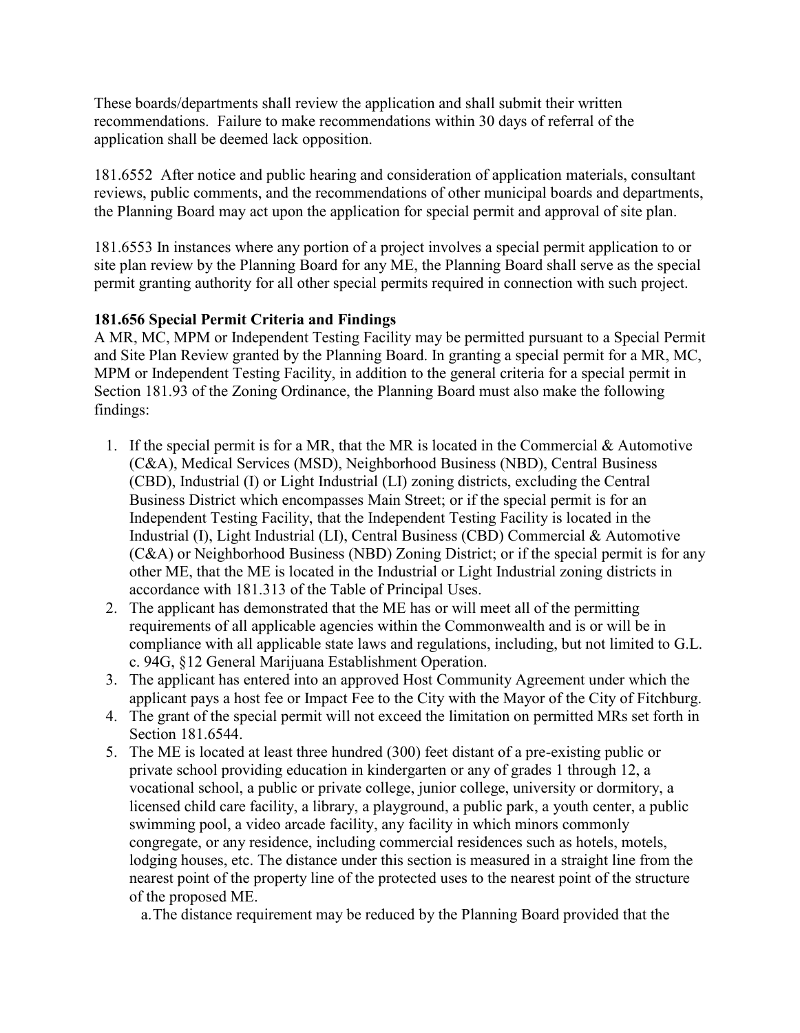These boards/departments shall review the application and shall submit their written recommendations. Failure to make recommendations within 30 days of referral of the application shall be deemed lack opposition.

181.6552 After notice and public hearing and consideration of application materials, consultant reviews, public comments, and the recommendations of other municipal boards and departments, the Planning Board may act upon the application for special permit and approval of site plan.

181.6553 In instances where any portion of a project involves a special permit application to or site plan review by the Planning Board for any ME, the Planning Board shall serve as the special permit granting authority for all other special permits required in connection with such project.

# **181.656 Special Permit Criteria and Findings**

A MR, MC, MPM or Independent Testing Facility may be permitted pursuant to a Special Permit and Site Plan Review granted by the Planning Board. In granting a special permit for a MR, MC, MPM or Independent Testing Facility, in addition to the general criteria for a special permit in Section 181.93 of the Zoning Ordinance, the Planning Board must also make the following findings:

- 1. If the special permit is for a MR, that the MR is located in the Commercial  $\&$  Automotive (C&A), Medical Services (MSD), Neighborhood Business (NBD), Central Business (CBD), Industrial (I) or Light Industrial (LI) zoning districts, excluding the Central Business District which encompasses Main Street; or if the special permit is for an Independent Testing Facility, that the Independent Testing Facility is located in the Industrial (I), Light Industrial (LI), Central Business (CBD) Commercial & Automotive (C&A) or Neighborhood Business (NBD) Zoning District; or if the special permit is for any other ME, that the ME is located in the Industrial or Light Industrial zoning districts in accordance with 181.313 of the Table of Principal Uses.
- 2. The applicant has demonstrated that the ME has or will meet all of the permitting requirements of all applicable agencies within the Commonwealth and is or will be in compliance with all applicable state laws and regulations, including, but not limited to G.L. c. 94G, §12 General Marijuana Establishment Operation.
- 3. The applicant has entered into an approved Host Community Agreement under which the applicant pays a host fee or Impact Fee to the City with the Mayor of the City of Fitchburg.
- 4. The grant of the special permit will not exceed the limitation on permitted MRs set forth in Section 181.6544.
- 5. The ME is located at least three hundred (300) feet distant of a pre-existing public or private school providing education in kindergarten or any of grades 1 through 12, a vocational school, a public or private college, junior college, university or dormitory, a licensed child care facility, a library, a playground, a public park, a youth center, a public swimming pool, a video arcade facility, any facility in which minors commonly congregate, or any residence, including commercial residences such as hotels, motels, lodging houses, etc. The distance under this section is measured in a straight line from the nearest point of the property line of the protected uses to the nearest point of the structure of the proposed ME.

a.The distance requirement may be reduced by the Planning Board provided that the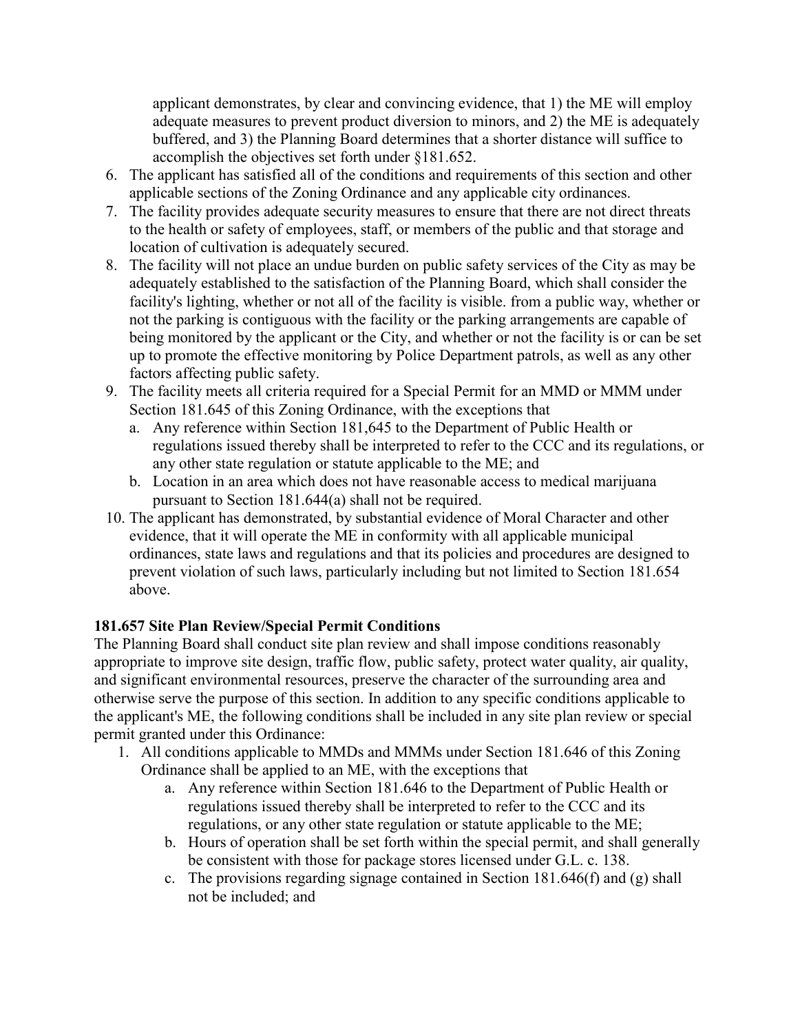applicant demonstrates, by clear and convincing evidence, that 1) the ME will employ adequate measures to prevent product diversion to minors, and 2) the ME is adequately buffered, and 3) the Planning Board determines that a shorter distance will suffice to accomplish the objectives set forth under §181.652.

- 6. The applicant has satisfied all of the conditions and requirements of this section and other applicable sections of the Zoning Ordinance and any applicable city ordinances.
- 7. The facility provides adequate security measures to ensure that there are not direct threats to the health or safety of employees, staff, or members of the public and that storage and location of cultivation is adequately secured.
- 8. The facility will not place an undue burden on public safety services of the City as may be adequately established to the satisfaction of the Planning Board, which shall consider the facility's lighting, whether or not all of the facility is visible. from a public way, whether or not the parking is contiguous with the facility or the parking arrangements are capable of being monitored by the applicant or the City, and whether or not the facility is or can be set up to promote the effective monitoring by Police Department patrols, as well as any other factors affecting public safety.
- 9. The facility meets all criteria required for a Special Permit for an MMD or MMM under Section 181.645 of this Zoning Ordinance, with the exceptions that
	- a. Any reference within Section 181,645 to the Department of Public Health or regulations issued thereby shall be interpreted to refer to the CCC and its regulations, or any other state regulation or statute applicable to the ME; and
	- b. Location in an area which does not have reasonable access to medical marijuana pursuant to Section 181.644(a) shall not be required.
- 10. The applicant has demonstrated, by substantial evidence of Moral Character and other evidence, that it will operate the ME in conformity with all applicable municipal ordinances, state laws and regulations and that its policies and procedures are designed to prevent violation of such laws, particularly including but not limited to Section 181.654 above.

# **181.657 Site Plan Review/Special Permit Conditions**

The Planning Board shall conduct site plan review and shall impose conditions reasonably appropriate to improve site design, traffic flow, public safety, protect water quality, air quality, and significant environmental resources, preserve the character of the surrounding area and otherwise serve the purpose of this section. In addition to any specific conditions applicable to the applicant's ME, the following conditions shall be included in any site plan review or special permit granted under this Ordinance:

- 1. All conditions applicable to MMDs and MMMs under Section 181.646 of this Zoning Ordinance shall be applied to an ME, with the exceptions that
	- a. Any reference within Section 181.646 to the Department of Public Health or regulations issued thereby shall be interpreted to refer to the CCC and its regulations, or any other state regulation or statute applicable to the ME;
	- b. Hours of operation shall be set forth within the special permit, and shall generally be consistent with those for package stores licensed under G.L. c. 138.
	- c. The provisions regarding signage contained in Section 181.646(f) and (g) shall not be included; and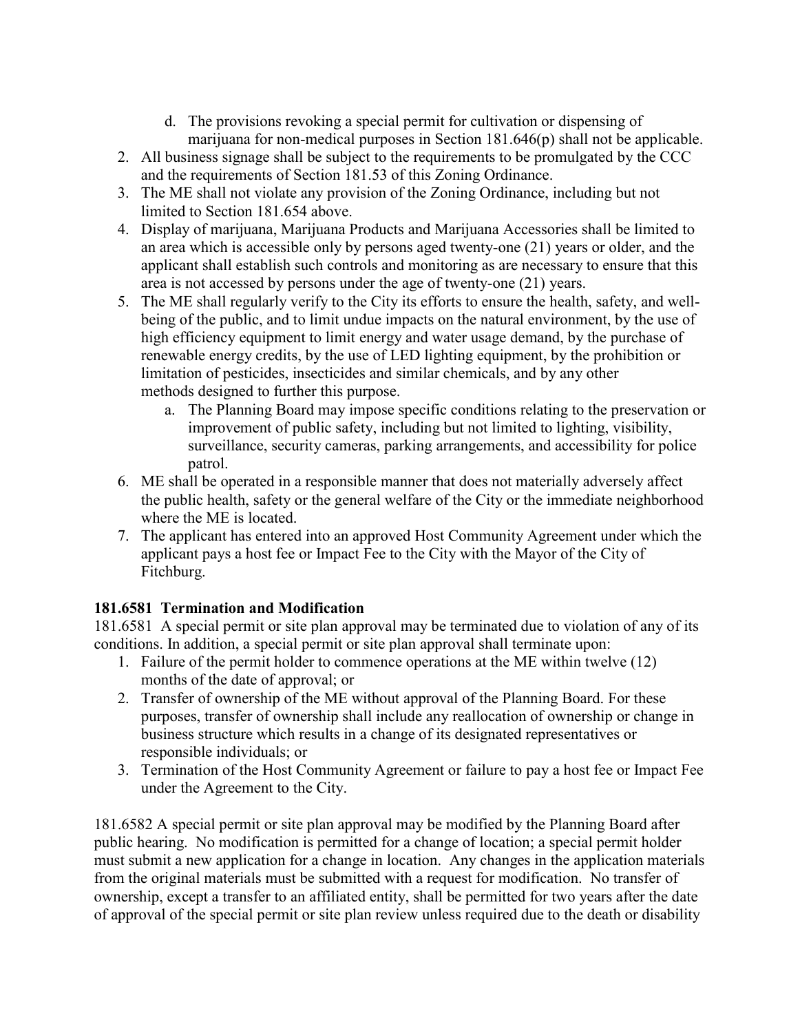- d. The provisions revoking a special permit for cultivation or dispensing of marijuana for non-medical purposes in Section 181.646(p) shall not be applicable.
- 2. All business signage shall be subject to the requirements to be promulgated by the CCC and the requirements of Section 181.53 of this Zoning Ordinance.
- 3. The ME shall not violate any provision of the Zoning Ordinance, including but not limited to Section 181.654 above.
- 4. Display of marijuana, Marijuana Products and Marijuana Accessories shall be limited to an area which is accessible only by persons aged twenty-one (21) years or older, and the applicant shall establish such controls and monitoring as are necessary to ensure that this area is not accessed by persons under the age of twenty-one (21) years.
- 5. The ME shall regularly verify to the City its efforts to ensure the health, safety, and wellbeing of the public, and to limit undue impacts on the natural environment, by the use of high efficiency equipment to limit energy and water usage demand, by the purchase of renewable energy credits, by the use of LED lighting equipment, by the prohibition or limitation of pesticides, insecticides and similar chemicals, and by any other methods designed to further this purpose.
	- a. The Planning Board may impose specific conditions relating to the preservation or improvement of public safety, including but not limited to lighting, visibility, surveillance, security cameras, parking arrangements, and accessibility for police patrol.
- 6. ME shall be operated in a responsible manner that does not materially adversely affect the public health, safety or the general welfare of the City or the immediate neighborhood where the ME is located.
- 7. The applicant has entered into an approved Host Community Agreement under which the applicant pays a host fee or Impact Fee to the City with the Mayor of the City of Fitchburg.

# **181.6581 Termination and Modification**

181.6581 A special permit or site plan approval may be terminated due to violation of any of its conditions. In addition, a special permit or site plan approval shall terminate upon:

- 1. Failure of the permit holder to commence operations at the ME within twelve (12) months of the date of approval; or
- 2. Transfer of ownership of the ME without approval of the Planning Board. For these purposes, transfer of ownership shall include any reallocation of ownership or change in business structure which results in a change of its designated representatives or responsible individuals; or
- 3. Termination of the Host Community Agreement or failure to pay a host fee or Impact Fee under the Agreement to the City.

181.6582 A special permit or site plan approval may be modified by the Planning Board after public hearing. No modification is permitted for a change of location; a special permit holder must submit a new application for a change in location. Any changes in the application materials from the original materials must be submitted with a request for modification. No transfer of ownership, except a transfer to an affiliated entity, shall be permitted for two years after the date of approval of the special permit or site plan review unless required due to the death or disability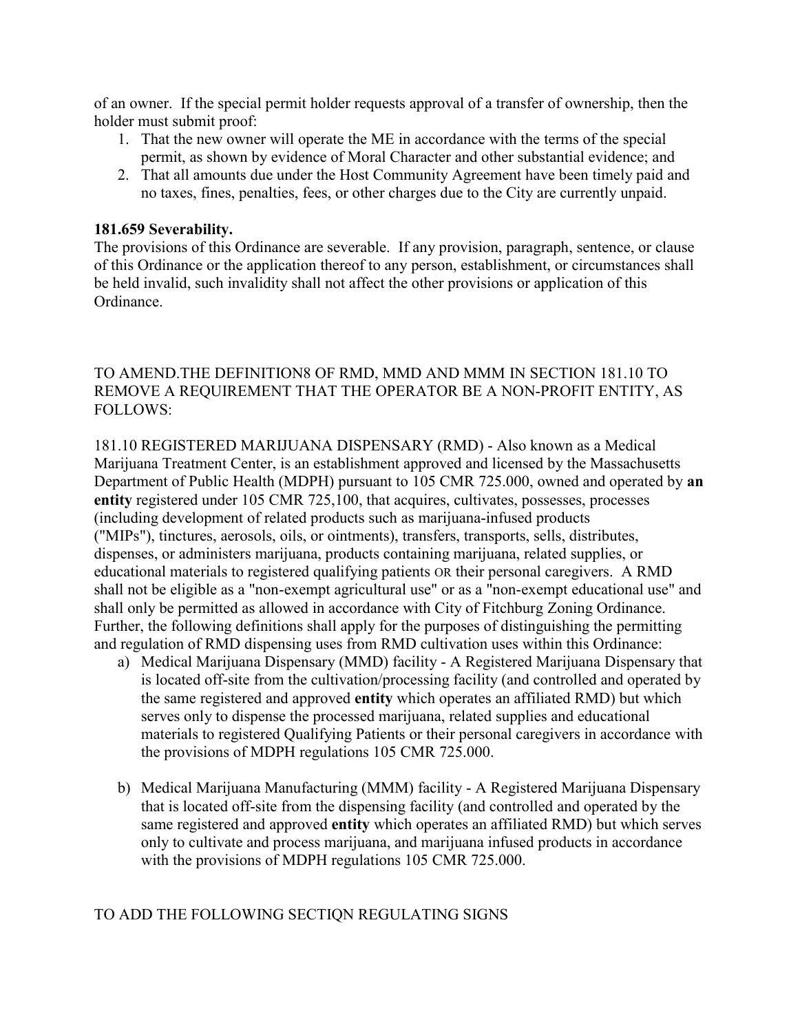of an owner. If the special permit holder requests approval of a transfer of ownership, then the holder must submit proof:

- 1. That the new owner will operate the ME in accordance with the terms of the special permit, as shown by evidence of Moral Character and other substantial evidence; and
- 2. That all amounts due under the Host Community Agreement have been timely paid and no taxes, fines, penalties, fees, or other charges due to the City are currently unpaid.

#### **181.659 Severability.**

The provisions of this Ordinance are severable. If any provision, paragraph, sentence, or clause of this Ordinance or the application thereof to any person, establishment, or circumstances shall be held invalid, such invalidity shall not affect the other provisions or application of this Ordinance.

# TO AMEND.THE DEFINITION8 OF RMD, MMD AND MMM IN SECTION 181.10 TO REMOVE A REQUIREMENT THAT THE OPERATOR BE A NON-PROFIT ENTITY, AS FOLLOWS:

181.10 REGISTERED MARIJUANA DISPENSARY (RMD) - Also known as a Medical Marijuana Treatment Center, is an establishment approved and licensed by the Massachusetts Department of Public Health (MDPH) pursuant to 105 CMR 725.000, owned and operated by **an entity** registered under 105 CMR 725,100, that acquires, cultivates, possesses, processes (including development of related products such as marijuana-infused products ("MIPs"), tinctures, aerosols, oils, or ointments), transfers, transports, sells, distributes, dispenses, or administers marijuana, products containing marijuana, related supplies, or educational materials to registered qualifying patients OR their personal caregivers. A RMD shall not be eligible as a "non-exempt agricultural use" or as a "non-exempt educational use" and shall only be permitted as allowed in accordance with City of Fitchburg Zoning Ordinance. Further, the following definitions shall apply for the purposes of distinguishing the permitting and regulation of RMD dispensing uses from RMD cultivation uses within this Ordinance:

- a) Medical Marijuana Dispensary (MMD) facility A Registered Marijuana Dispensary that is located off-site from the cultivation/processing facility (and controlled and operated by the same registered and approved **entity** which operates an affiliated RMD) but which serves only to dispense the processed marijuana, related supplies and educational materials to registered Qualifying Patients or their personal caregivers in accordance with the provisions of MDPH regulations 105 CMR 725.000.
- b) Medical Marijuana Manufacturing (MMM) facility A Registered Marijuana Dispensary that is located off-site from the dispensing facility (and controlled and operated by the same registered and approved **entity** which operates an affiliated RMD) but which serves only to cultivate and process marijuana, and marijuana infused products in accordance with the provisions of MDPH regulations 105 CMR 725.000.

# TO ADD THE FOLLOWING SECTIQN REGULATING SIGNS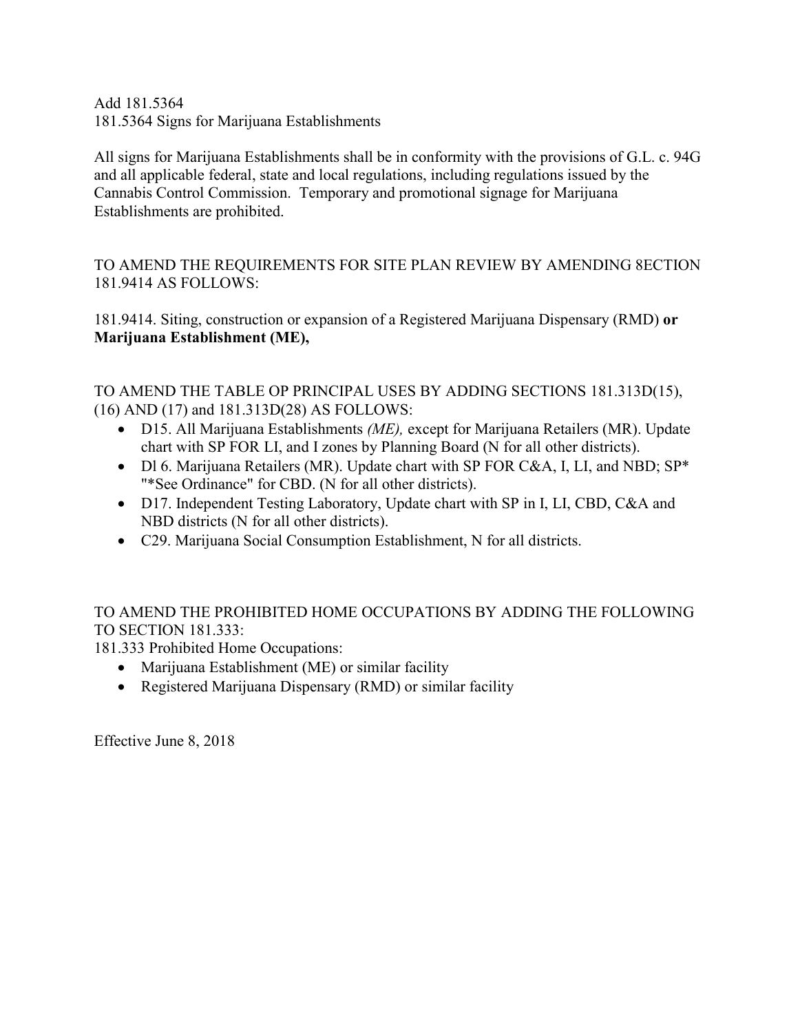Add 181.5364 181.5364 Signs for Marijuana Establishments

All signs for Marijuana Establishments shall be in conformity with the provisions of G.L. c. 94G and all applicable federal, state and local regulations, including regulations issued by the Cannabis Control Commission. Temporary and promotional signage for Marijuana Establishments are prohibited.

TO AMEND THE REQUIREMENTS FOR SITE PLAN REVIEW BY AMENDING 8ECTION 181.9414 AS FOLLOWS:

181.9414. Siting, construction or expansion of a Registered Marijuana Dispensary (RMD) **or Marijuana Establishment (ME),** 

TO AMEND THE TABLE OP PRINCIPAL USES BY ADDING SECTIONS 181.313D(15), (16) AND (17) and 181.313D(28) AS FOLLOWS:

- D15. All Marijuana Establishments *(ME),* except for Marijuana Retailers (MR). Update chart with SP FOR LI, and I zones by Planning Board (N for all other districts).
- Dl 6. Marijuana Retailers (MR). Update chart with SP FOR C&A, I, LI, and NBD; SP\* "\*See Ordinance" for CBD. (N for all other districts).
- D17. Independent Testing Laboratory, Update chart with SP in I, LI, CBD, C&A and NBD districts (N for all other districts).
- C29. Marijuana Social Consumption Establishment, N for all districts.

# TO AMEND THE PROHIBITED HOME OCCUPATIONS BY ADDING THE FOLLOWING TO SECTION 181.333:

181.333 Prohibited Home Occupations:

- Marijuana Establishment (ME) or similar facility
- Registered Marijuana Dispensary (RMD) or similar facility

Effective June 8, 2018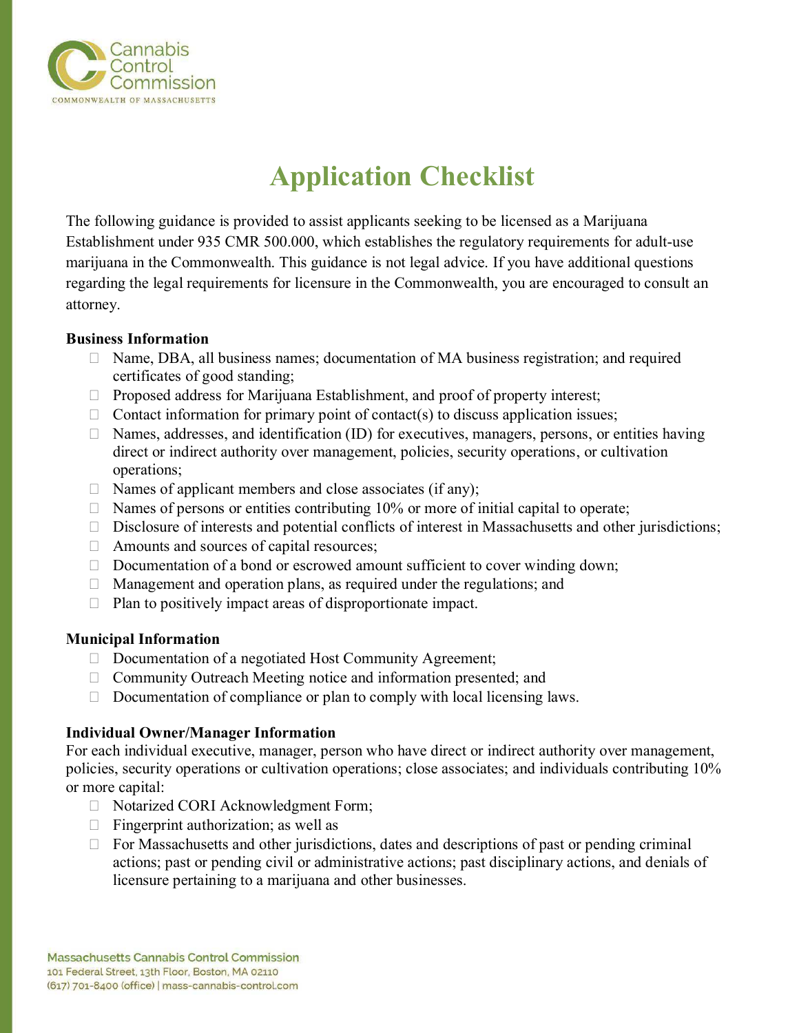

# **Application Checklist**

The following guidance is provided to assist applicants seeking to be licensed as a Marijuana Establishment under 935 CMR 500.000, which establishes the regulatory requirements for adult-use marijuana in the Commonwealth. This guidance is not legal advice. If you have additional questions regarding the legal requirements for licensure in the Commonwealth, you are encouraged to consult an attorney.

#### **Business Information**

- $\Box$  Name, DBA, all business names; documentation of MA business registration; and required certificates of good standing;
- $\Box$  Proposed address for Marijuana Establishment, and proof of property interest;
- $\Box$  Contact information for primary point of contact(s) to discuss application issues;
- $\Box$  Names, addresses, and identification (ID) for executives, managers, persons, or entities having direct or indirect authority over management, policies, security operations, or cultivation operations;
- $\Box$  Names of applicant members and close associates (if any);
- $\Box$  Names of persons or entities contributing 10% or more of initial capital to operate;
- $\Box$  Disclosure of interests and potential conflicts of interest in Massachusetts and other jurisdictions;
- $\Box$  Amounts and sources of capital resources;
- $\Box$  Documentation of a bond or escrowed amount sufficient to cover winding down;
- $\Box$  Management and operation plans, as required under the regulations; and
- $\Box$  Plan to positively impact areas of disproportionate impact.

#### **Municipal Information**

- □ Documentation of a negotiated Host Community Agreement;
- □ Community Outreach Meeting notice and information presented; and
- $\Box$  Documentation of compliance or plan to comply with local licensing laws.

# **Individual Owner/Manager Information**

For each individual executive, manager, person who have direct or indirect authority over management, policies, security operations or cultivation operations; close associates; and individuals contributing 10% or more capital:

- □ Notarized CORI Acknowledgment Form;
- $\Box$  Fingerprint authorization; as well as
- $\Box$  For Massachusetts and other jurisdictions, dates and descriptions of past or pending criminal actions; past or pending civil or administrative actions; past disciplinary actions, and denials of licensure pertaining to a marijuana and other businesses.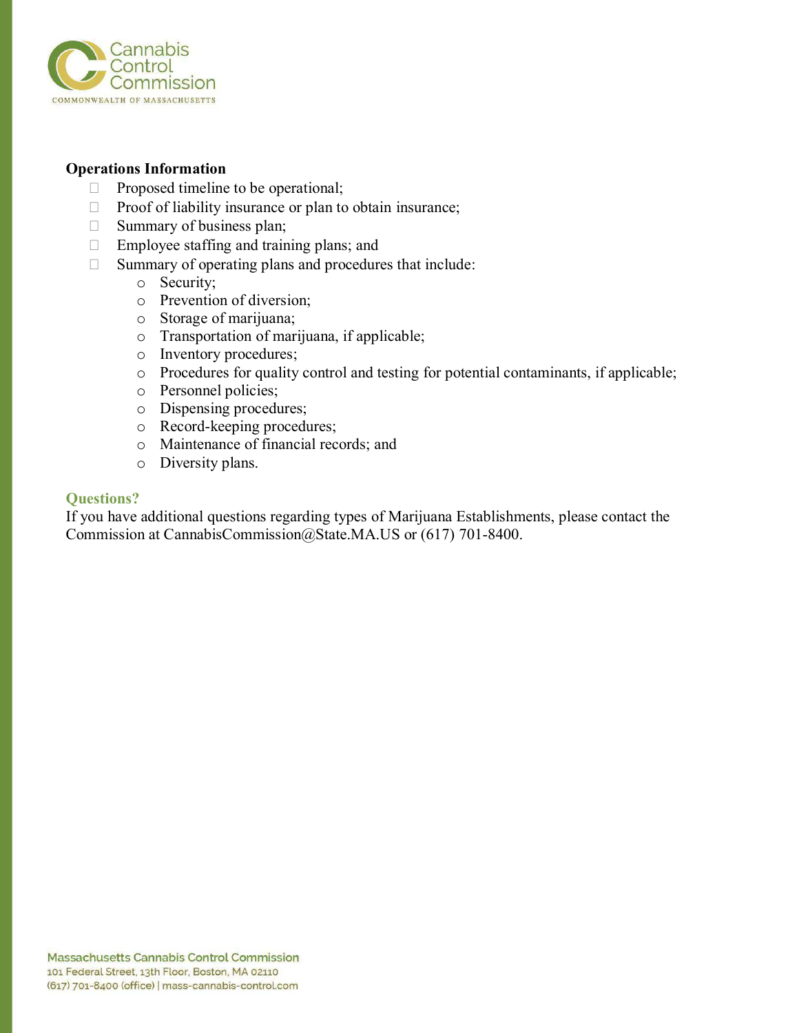

#### **Operations Information**

- $\Box$  Proposed timeline to be operational;
- $\Box$  Proof of liability insurance or plan to obtain insurance;
- $\Box$  Summary of business plan;
- $\Box$  Employee staffing and training plans; and
- $\Box$  Summary of operating plans and procedures that include:
	- o Security;
	- o Prevention of diversion;
	- o Storage of marijuana;
	- o Transportation of marijuana, if applicable;
	- o Inventory procedures;
	- o Procedures for quality control and testing for potential contaminants, if applicable;
	- o Personnel policies;
	- o Dispensing procedures;
	- o Record-keeping procedures;
	- o Maintenance of financial records; and
	- o Diversity plans.

#### **Questions?**

If you have additional questions regarding types of Marijuana Establishments, please contact the Commission at CannabisCommission@State.MA.US or (617) 701-8400.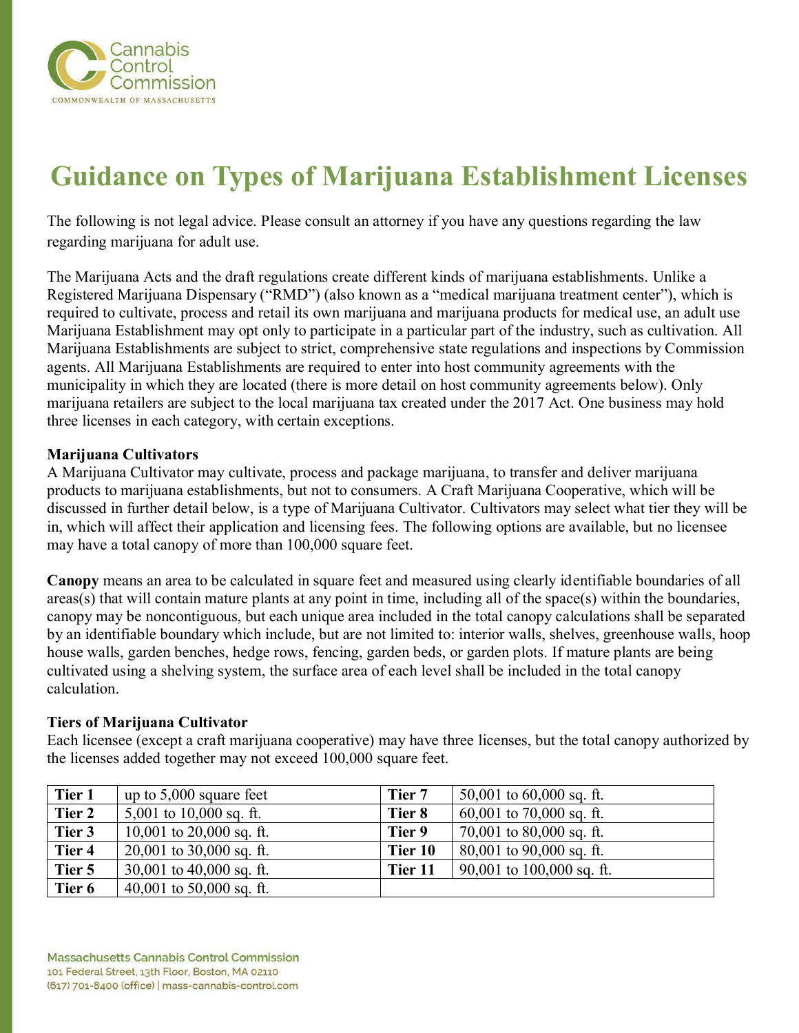

# **Guidance on Types of Marijuana Establishment Licenses**

The following is not legal advice. Please consult an attorney if you have any questions regarding the law regarding marijuana for adult use.

The Marijuana Acts and the draft regulations create different kinds of marijuana establishments. Unlike a Registered Marijuana Dispensary ("RMD") (also known as a "medical marijuana treatment center"), which is required to cultivate, process and retail its own marijuana and marijuana products for medical use, an adult use Marijuana Establishment may opt only to participate in a particular part of the industry, such as cultivation. All Marijuana Establishments are subject to strict, comprehensive state regulations and inspections by Commission agents. All Marijuana Establishments are required to enter into host community agreements with the municipality in which they are located (there is more detail on host community agreements below). Only marijuana retailers are subject to the local marijuana tax created under the 2017 Act. One business may hold three licenses in each category, with certain exceptions.

#### **Marijuana Cultivators**

A Marijuana Cultivator may cultivate, process and package marijuana, to transfer and deliver marijuana products to marijuana establishments, but not to consumers. A Craft Marijuana Cooperative, which will be discussed in further detail below, is a type of Marijuana Cultivator. Cultivators may select what tier they will be in, which will affect their application and licensing fees. The following options are available, but no licensee may have a total canopy of more than 100,000 square feet.

**Canopy** means an area to be calculated in square feet and measured using clearly identifiable boundaries of all areas(s) that will contain mature plants at any point in time, including all of the space(s) within the boundaries, canopy may be noncontiguous, but each unique area included in the total canopy calculations shall be separated by an identifiable boundary which include, but are not limited to: interior walls, shelves, greenhouse walls, hoop house walls, garden benches, hedge rows, fencing, garden beds, or garden plots. If mature plants are being cultivated using a shelving system, the surface area of each level shall be included in the total canopy calculation.

#### **Tiers of Marijuana Cultivator**

Each licensee (except a craft marijuana cooperative) may have three licenses, but the total canopy authorized by the licenses added together may not exceed 100,000 square feet.

| Tier 1 | up to $5,000$ square feet    | Tier 7  | 50,001 to $60,000$ sq. ft.   |
|--------|------------------------------|---------|------------------------------|
| Tier 2 | 5,001 to $10,000$ sq. ft.    | Tier 8  | $60,001$ to 70,000 sq. ft.   |
| Tier 3 | 10,001 to $20,000$ sq. ft.   | Tier 9  | 70,001 to $80,000$ sq. ft.   |
| Tier 4 | $20,001$ to $30,000$ sq. ft. | Tier 10 | $80,001$ to $90,000$ sq. ft. |
| Tier 5 | 30,001 to 40,000 sq. ft.     | Tier 11 | 90,001 to $100,000$ sq. ft.  |
| Tier 6 | 40,001 to 50,000 sq. ft.     |         |                              |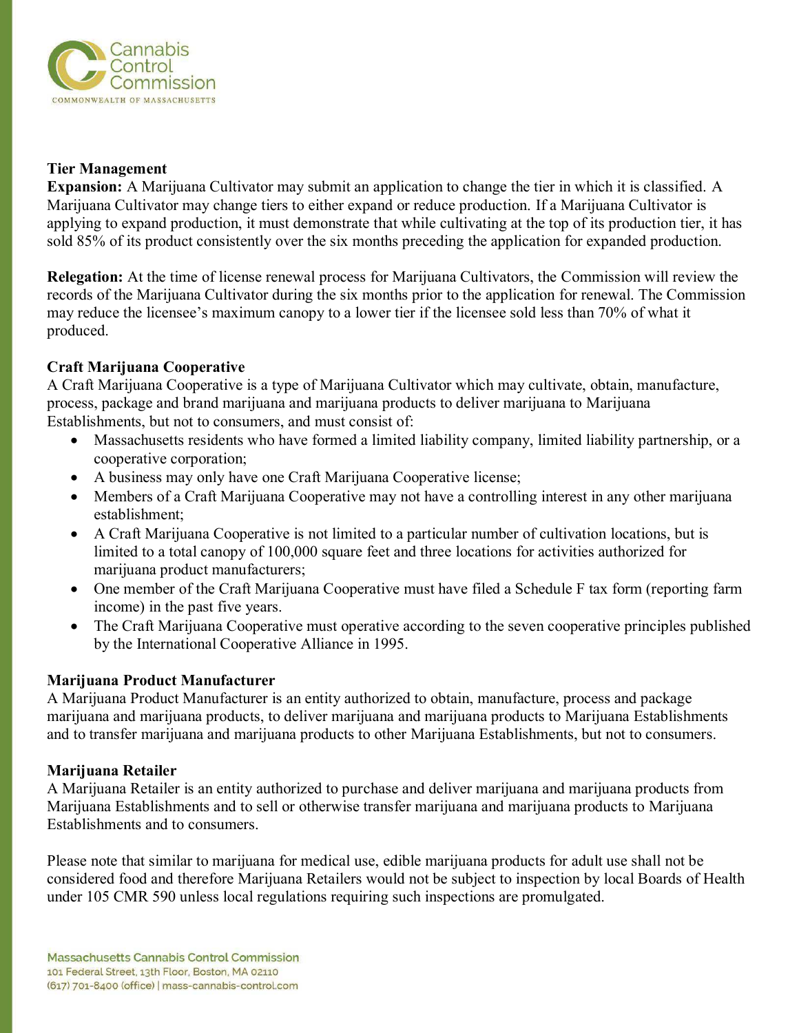

#### **Tier Management**

**Expansion:** A Marijuana Cultivator may submit an application to change the tier in which it is classified. A Marijuana Cultivator may change tiers to either expand or reduce production. If a Marijuana Cultivator is applying to expand production, it must demonstrate that while cultivating at the top of its production tier, it has sold 85% of its product consistently over the six months preceding the application for expanded production.

**Relegation:** At the time of license renewal process for Marijuana Cultivators, the Commission will review the records of the Marijuana Cultivator during the six months prior to the application for renewal. The Commission may reduce the licensee's maximum canopy to a lower tier if the licensee sold less than 70% of what it produced. Î

# **Craft Marijuana Cooperative**

A Craft Marijuana Cooperative is a type of Marijuana Cultivator which may cultivate, obtain, manufacture, process, package and brand marijuana and marijuana products to deliver marijuana to Marijuana Establishments, but not to consumers, and must consist of:

- Massachusetts residents who have formed a limited liability company, limited liability partnership, or a cooperative corporation;
- A business may only have one Craft Marijuana Cooperative license;
- Members of a Craft Marijuana Cooperative may not have a controlling interest in any other marijuana establishment;
- A Craft Marijuana Cooperative is not limited to a particular number of cultivation locations, but is limited to a total canopy of 100,000 square feet and three locations for activities authorized for marijuana product manufacturers;
- One member of the Craft Marijuana Cooperative must have filed a Schedule F tax form (reporting farm income) in the past five years.
- The Craft Marijuana Cooperative must operative according to the seven cooperative principles published by the International Cooperative Alliance in 1995.

# **Marijuana Product Manufacturer**

A Marijuana Product Manufacturer is an entity authorized to obtain, manufacture, process and package marijuana and marijuana products, to deliver marijuana and marijuana products to Marijuana Establishments and to transfer marijuana and marijuana products to other Marijuana Establishments, but not to consumers.

# **Marijuana Retailer**

A Marijuana Retailer is an entity authorized to purchase and deliver marijuana and marijuana products from Marijuana Establishments and to sell or otherwise transfer marijuana and marijuana products to Marijuana Establishments and to consumers.

Please note that similar to marijuana for medical use, edible marijuana products for adult use shall not be considered food and therefore Marijuana Retailers would not be subject to inspection by local Boards of Health under 105 CMR 590 unless local regulations requiring such inspections are promulgated.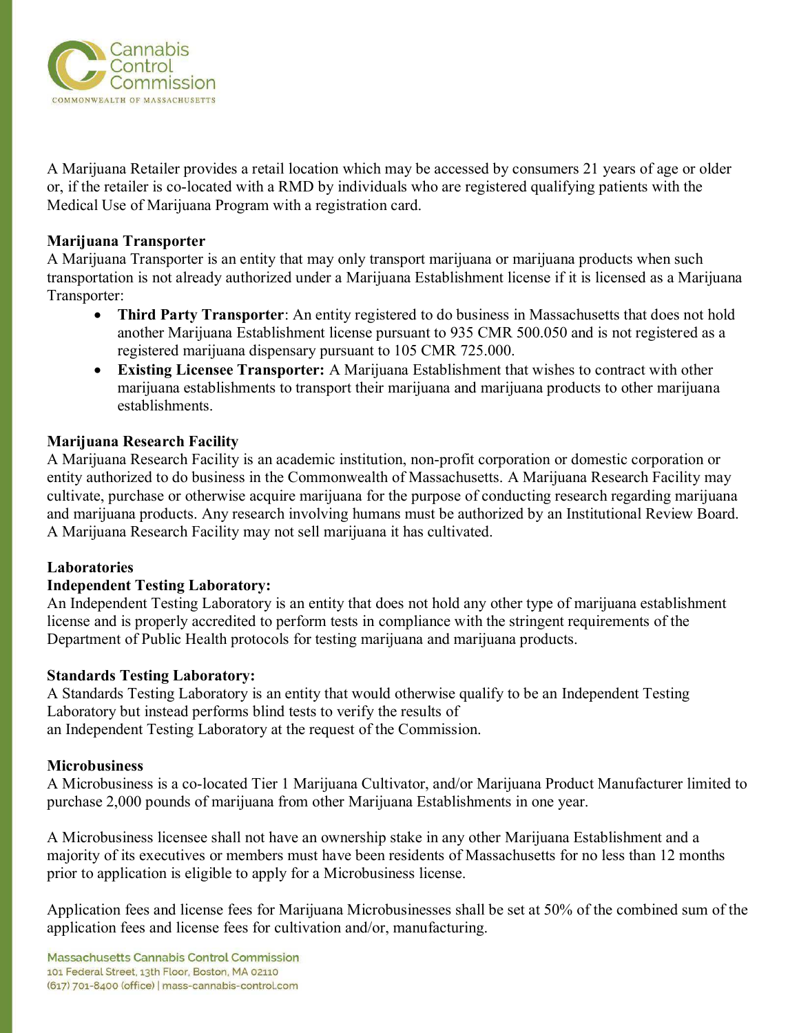

A Marijuana Retailer provides a retail location which may be accessed by consumers 21 years of age or older or, if the retailer is co-located with a RMD by individuals who are registered qualifying patients with the Medical Use of Marijuana Program with a registration card.

#### **Marijuana Transporter**

A Marijuana Transporter is an entity that may only transport marijuana or marijuana products when such transportation is not already authorized under a Marijuana Establishment license if it is licensed as a Marijuana Transporter:

- **Third Party Transporter:** An entity registered to do business in Massachusetts that does not hold another Marijuana Establishment license pursuant to 935 CMR 500.050 and is not registered as a registered marijuana dispensary pursuant to 105 CMR 725.000.
- **Existing Licensee Transporter:** A Marijuana Establishment that wishes to contract with other marijuana establishments to transport their marijuana and marijuana products to other marijuana establishments.

#### **Marijuana Research Facility**

A Marijuana Research Facility is an academic institution, non-profit corporation or domestic corporation or entity authorized to do business in the Commonwealth of Massachusetts. A Marijuana Research Facility may cultivate, purchase or otherwise acquire marijuana for the purpose of conducting research regarding marijuana and marijuana products. Any research involving humans must be authorized by an Institutional Review Board. A Marijuana Research Facility may not sell marijuana it has cultivated.

#### **Laboratories**

#### **Independent Testing Laboratory:**

An Independent Testing Laboratory is an entity that does not hold any other type of marijuana establishment license and is properly accredited to perform tests in compliance with the stringent requirements of the Department of Public Health protocols for testing marijuana and marijuana products.

#### **Standards Testing Laboratory:**

A Standards Testing Laboratory is an entity that would otherwise qualify to be an Independent Testing Laboratory but instead performs blind tests to verify the results of an Independent Testing Laboratory at the request of the Commission.

#### **Microbusiness**

A Microbusiness is a co-located Tier 1 Marijuana Cultivator, and/or Marijuana Product Manufacturer limited to purchase 2,000 pounds of marijuana from other Marijuana Establishments in one year.

A Microbusiness licensee shall not have an ownership stake in any other Marijuana Establishment and a majority of its executives or members must have been residents of Massachusetts for no less than 12 months prior to application is eligible to apply for a Microbusiness license.

Application fees and license fees for Marijuana Microbusinesses shall be set at 50% of the combined sum of the application fees and license fees for cultivation and/or, manufacturing.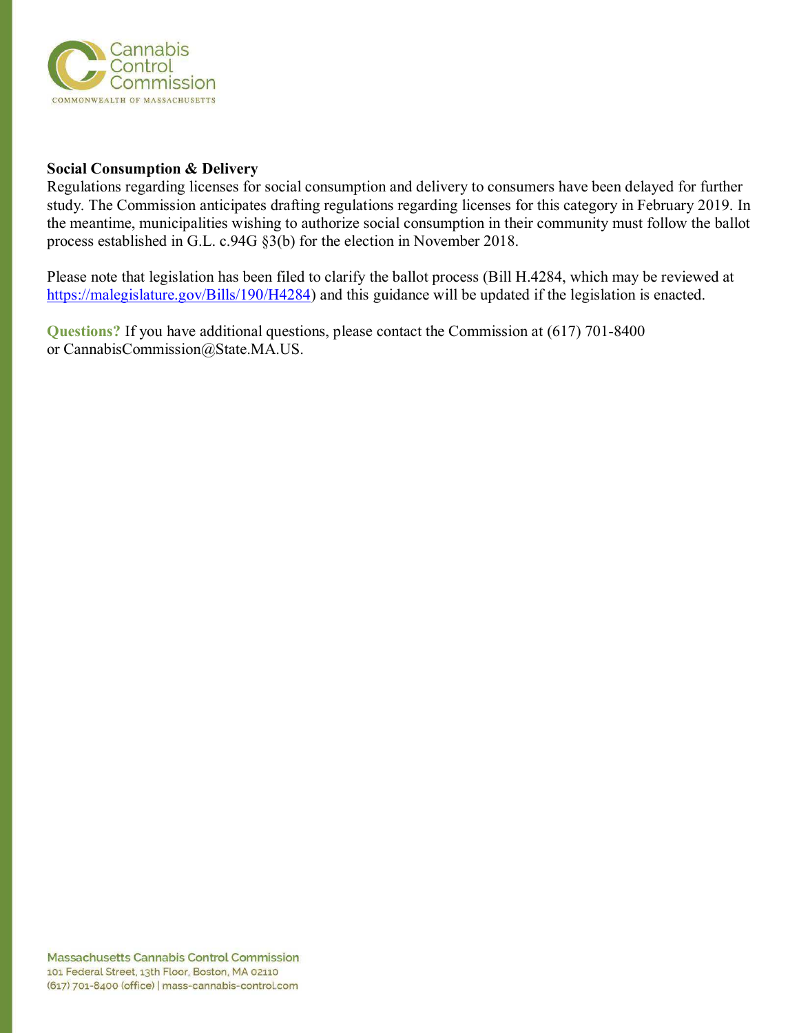

#### **Social Consumption & Delivery**

Regulations regarding licenses for social consumption and delivery to consumers have been delayed for further study. The Commission anticipates drafting regulations regarding licenses for this category in February 2019. In the meantime, municipalities wishing to authorize social consumption in their community must follow the ballot process established in G.L. c.94G §3(b) for the election in November 2018.

Please note that legislation has been filed to clarify the ballot process (Bill H.4284, which may be reviewed at [https://malegislature.gov/Bills/190/H4284\)](https://malegislature.gov/Bills/190/H4284) and this guidance will be updated if the legislation is enacted.

**Questions?** If you have additional questions, please contact the Commission at (617) 701-8400 or CannabisCommission@State.MA.US.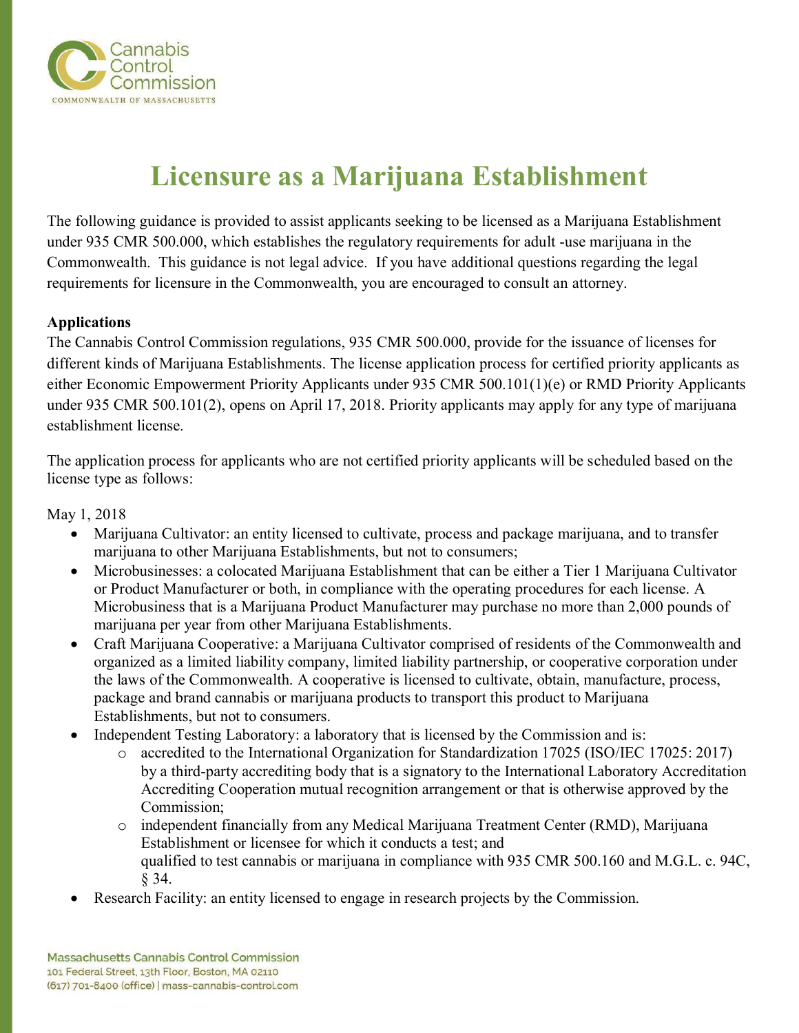

# **Licensure as a Marijuana Establishment**

The following guidance is provided to assist applicants seeking to be licensed as a Marijuana Establishment under 935 CMR 500.000, which establishes the regulatory requirements for adult -use marijuana in the Commonwealth. This guidance is not legal advice. If you have additional questions regarding the legal requirements for licensure in the Commonwealth, you are encouraged to consult an attorney.

# **Applications**

The Cannabis Control Commission regulations, 935 CMR 500.000, provide for the issuance of licenses for different kinds of Marijuana Establishments. The license application process for certified priority applicants as either Economic Empowerment Priority Applicants under 935 CMR 500.101(1)(e) or RMD Priority Applicants under 935 CMR 500.101(2), opens on April 17, 2018. Priority applicants may apply for any type of marijuana establishment license.

The application process for applicants who are not certified priority applicants will be scheduled based on the license type as follows:

May 1, 2018

- Marijuana Cultivator: an entity licensed to cultivate, process and package marijuana, and to transfer marijuana to other Marijuana Establishments, but not to consumers;
- Microbusinesses: a colocated Marijuana Establishment that can be either a Tier 1 Marijuana Cultivator or Product Manufacturer or both, in compliance with the operating procedures for each license. A Microbusiness that is a Marijuana Product Manufacturer may purchase no more than 2,000 pounds of marijuana per year from other Marijuana Establishments.
- Craft Marijuana Cooperative: a Marijuana Cultivator comprised of residents of the Commonwealth and organized as a limited liability company, limited liability partnership, or cooperative corporation under the laws of the Commonwealth. A cooperative is licensed to cultivate, obtain, manufacture, process, package and brand cannabis or marijuana products to transport this product to Marijuana Establishments, but not to consumers.
- Independent Testing Laboratory: a laboratory that is licensed by the Commission and is:
	- o accredited to the International Organization for Standardization 17025 (ISO/IEC 17025: 2017) by a third-party accrediting body that is a signatory to the International Laboratory Accreditation Accrediting Cooperation mutual recognition arrangement or that is otherwise approved by the Commission;
	- o independent financially from any Medical Marijuana Treatment Center (RMD), Marijuana Establishment or licensee for which it conducts a test; and qualified to test cannabis or marijuana in compliance with 935 CMR 500.160 and M.G.L. c. 94C, § 34.
- Research Facility: an entity licensed to engage in research projects by the Commission.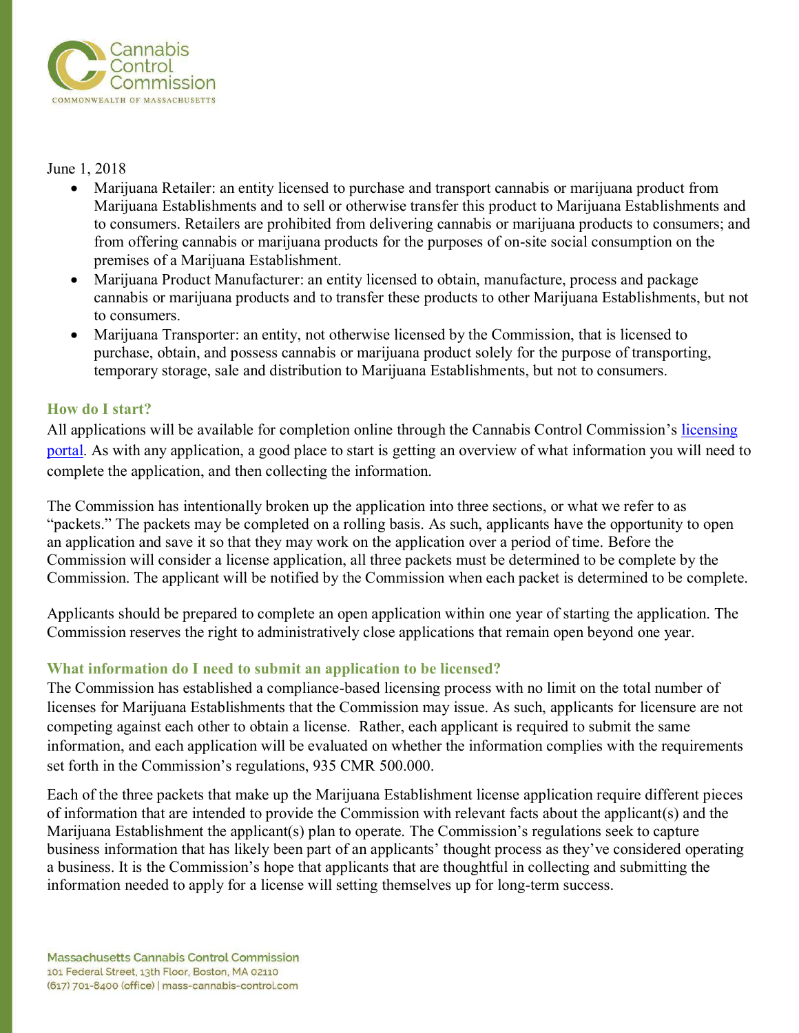

### June 1, 2018

- Marijuana Retailer: an entity licensed to purchase and transport cannabis or marijuana product from Marijuana Establishments and to sell or otherwise transfer this product to Marijuana Establishments and to consumers. Retailers are prohibited from delivering cannabis or marijuana products to consumers; and from offering cannabis or marijuana products for the purposes of on-site social consumption on the premises of a Marijuana Establishment.
- Marijuana Product Manufacturer: an entity licensed to obtain, manufacture, process and package cannabis or marijuana products and to transfer these products to other Marijuana Establishments, but not to consumers.
- Marijuana Transporter: an entity, not otherwise licensed by the Commission, that is licensed to purchase, obtain, and possess cannabis or marijuana product solely for the purpose of transporting, temporary storage, sale and distribution to Marijuana Establishments, but not to consumers.

# **How do I start?**

All applications will be available for completion online through the Cannabis Control Commission's [licensing](https://www.massciportal.com/)  [portal.](https://www.massciportal.com/) As with any application, a good place to start is getting an overview of what information you will need to complete the application, and then collecting the information.

The Commission has intentionally broken up the application into three sections, or what we refer to as "packets." The packets may be completed on a rolling basis. As such, applicants have the opportunity to open an application and save it so that they may work on the application over a period of time. Before the Commission will consider a license application, all three packets must be determined to be complete by the Commission. The applicant will be notified by the Commission when each packet is determined to be complete.

Applicants should be prepared to complete an open application within one year of starting the application. The Commission reserves the right to administratively close applications that remain open beyond one year.

# **What information do I need to submit an application to be licensed?**

The Commission has established a compliance-based licensing process with no limit on the total number of licenses for Marijuana Establishments that the Commission may issue. As such, applicants for licensure are not competing against each other to obtain a license. Rather, each applicant is required to submit the same information, and each application will be evaluated on whether the information complies with the requirements set forth in the Commission's regulations, 935 CMR 500.000.

Each of the three packets that make up the Marijuana Establishment license application require different pieces of information that are intended to provide the Commission with relevant facts about the applicant(s) and the Marijuana Establishment the applicant(s) plan to operate. The Commission's regulations seek to capture business information that has likely been part of an applicants' thought process as they've considered operating a business. It is the Commission's hope that applicants that are thoughtful in collecting and submitting the information needed to apply for a license will setting themselves up for long-term success.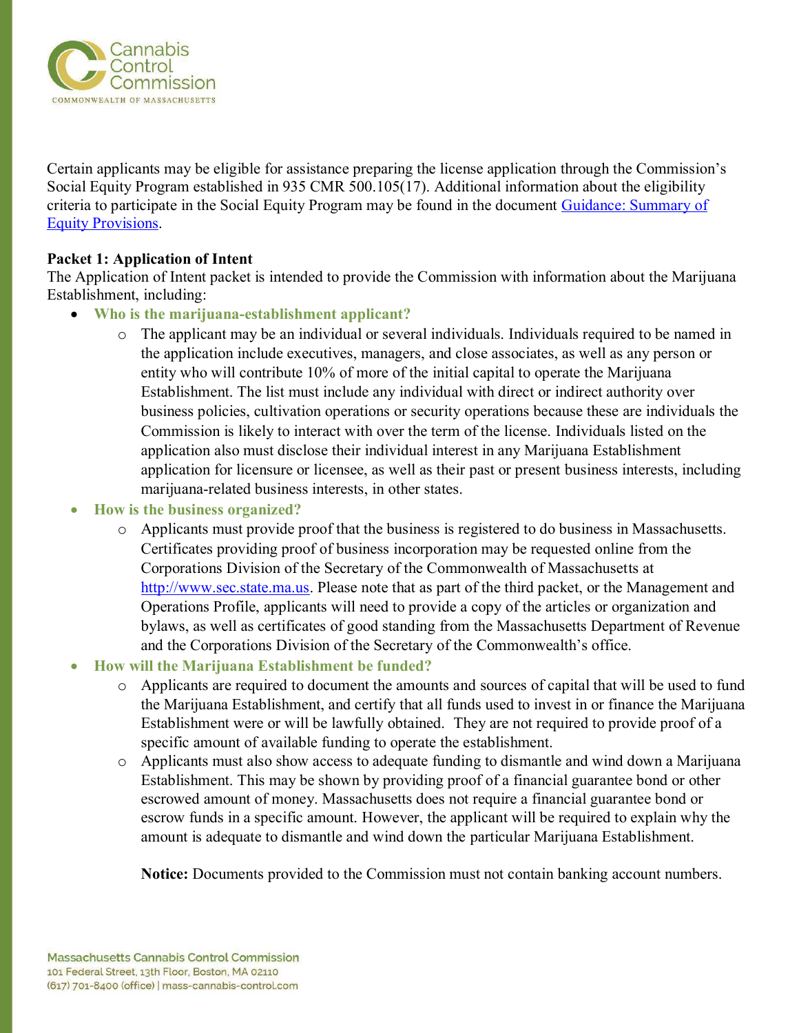

Certain applicants may be eligible for assistance preparing the license application through the Commission's Social Equity Program established in 935 CMR 500.105(17). Additional information about the eligibility criteria to participate in the Social Equity Program may be found in the document [Guidance: Summary of](https://mass-cannabis-control.com/wp-content/uploads/2018/03/UPDATED-Guidance-Summary-of-Equity-Provisions-with-6th-criterion-added.pdf)  [Equity Provisions.](https://mass-cannabis-control.com/wp-content/uploads/2018/03/UPDATED-Guidance-Summary-of-Equity-Provisions-with-6th-criterion-added.pdf)

# **Packet 1: Application of Intent**

The Application of Intent packet is intended to provide the Commission with information about the Marijuana Establishment, including:

- **Who is the marijuana-establishment applicant?** 
	- o The applicant may be an individual or several individuals. Individuals required to be named in the application include executives, managers, and close associates, as well as any person or entity who will contribute 10% of more of the initial capital to operate the Marijuana Establishment. The list must include any individual with direct or indirect authority over business policies, cultivation operations or security operations because these are individuals the Commission is likely to interact with over the term of the license. Individuals listed on the application also must disclose their individual interest in any Marijuana Establishment application for licensure or licensee, as well as their past or present business interests, including marijuana-related business interests, in other states.
- **How is the business organized?** 
	- o Applicants must provide proof that the business is registered to do business in Massachusetts. Certificates providing proof of business incorporation may be requested online from the Corporations Division of the Secretary of the Commonwealth of Massachusetts at [http://www.sec.state.ma.us.](http://www.sec.state.ma.us/) Please note that as part of the third packet, or the Management and Operations Profile, applicants will need to provide a copy of the articles or organization and bylaws, as well as certificates of good standing from the Massachusetts Department of Revenue and the Corporations Division of the Secretary of the Commonwealth's office.

# • **How will the Marijuana Establishment be funded?**

- o Applicants are required to document the amounts and sources of capital that will be used to fund the Marijuana Establishment, and certify that all funds used to invest in or finance the Marijuana Establishment were or will be lawfully obtained. They are not required to provide proof of a specific amount of available funding to operate the establishment.
- o Applicants must also show access to adequate funding to dismantle and wind down a Marijuana Establishment. This may be shown by providing proof of a financial guarantee bond or other escrowed amount of money. Massachusetts does not require a financial guarantee bond or escrow funds in a specific amount. However, the applicant will be required to explain why the amount is adequate to dismantle and wind down the particular Marijuana Establishment.

**Notice:** Documents provided to the Commission must not contain banking account numbers.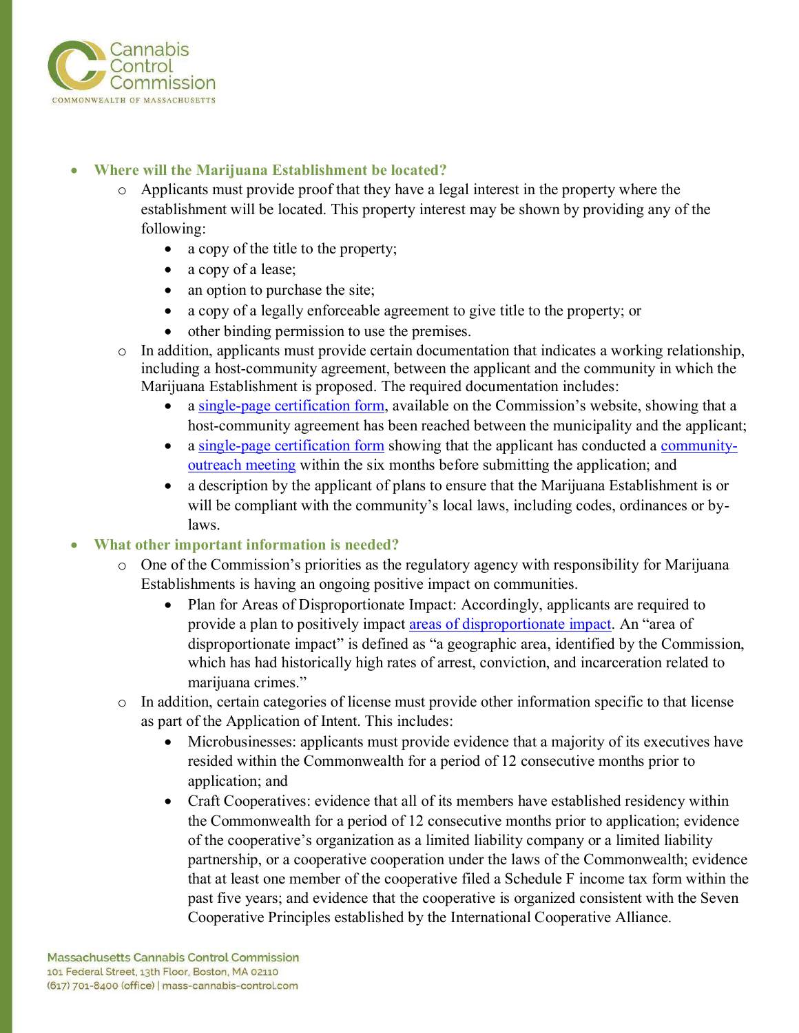

# • **Where will the Marijuana Establishment be located?**

- o Applicants must provide proof that they have a legal interest in the property where the establishment will be located. This property interest may be shown by providing any of the following:
	- a copy of the title to the property;
	- a copy of a lease;
	- an option to purchase the site;
	- a copy of a legally enforceable agreement to give title to the property; or
	- other binding permission to use the premises.
- o In addition, applicants must provide certain documentation that indicates a working relationship, including a host-community agreement, between the applicant and the community in which the Marijuana Establishment is proposed. The required documentation includes:
	- a [single-page certification form](http://mass-cannabis-control.com/wp-content/uploads/2018/04/Host-Community-Agreement-Certification-Form.pdf), available on the Commission's website, showing that a host-community agreement has been reached between the municipality and the applicant;
	- a [single-page certification form](http://mass-cannabis-control.com/wp-content/uploads/2018/04/Community-Outreach-Meeting-Attestation-Form.pdf) showing that the applicant has conducted a [community](http://mass-cannabis-control.com/wp-content/uploads/2018/04/Community-Outreach-Guidance-and-Forms.pdf)[outreach meeting](http://mass-cannabis-control.com/wp-content/uploads/2018/04/Community-Outreach-Guidance-and-Forms.pdf) within the six months before submitting the application; and
	- a description by the applicant of plans to ensure that the Marijuana Establishment is or will be compliant with the community's local laws, including codes, ordinances or bylaws.

# • **What other important information is needed?**

- $\circ$  One of the Commission's priorities as the regulatory agency with responsibility for Marijuana Establishments is having an ongoing positive impact on communities.
	- Plan for Areas of Disproportionate Impact: Accordingly, applicants are required to provide a plan to positively impact [areas of disproportionate impact.](http://mass-cannabis-control.com/wp-content/uploads/2018/04/Guidance-for-Identifying-Areas-of-Disproportionate-Impact.pdf) An "area of disproportionate impact" is defined as "a geographic area, identified by the Commission, which has had historically high rates of arrest, conviction, and incarceration related to marijuana crimes."
- o In addition, certain categories of license must provide other information specific to that license as part of the Application of Intent. This includes:
	- Microbusinesses: applicants must provide evidence that a majority of its executives have resided within the Commonwealth for a period of 12 consecutive months prior to application; and
	- Craft Cooperatives: evidence that all of its members have established residency within the Commonwealth for a period of 12 consecutive months prior to application; evidence of the cooperative's organization as a limited liability company or a limited liability partnership, or a cooperative cooperation under the laws of the Commonwealth; evidence that at least one member of the cooperative filed a Schedule F income tax form within the past five years; and evidence that the cooperative is organized consistent with the Seven Cooperative Principles established by the International Cooperative Alliance.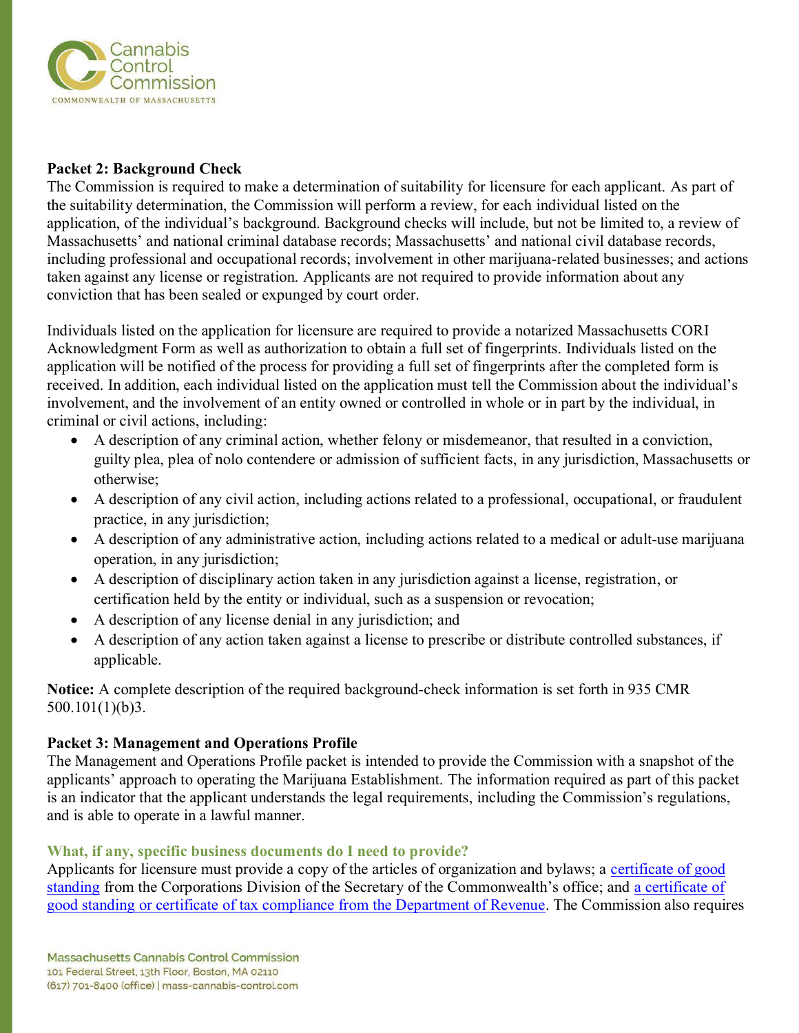

### **Packet 2: Background Check**

The Commission is required to make a determination of suitability for licensure for each applicant. As part of the suitability determination, the Commission will perform a review, for each individual listed on the application, of the individual's background. Background checks will include, but not be limited to, a review of Massachusetts' and national criminal database records; Massachusetts' and national civil database records, including professional and occupational records; involvement in other marijuana-related businesses; and actions taken against any license or registration. Applicants are not required to provide information about any conviction that has been sealed or expunged by court order.

Individuals listed on the application for licensure are required to provide a notarized Massachusetts CORI Acknowledgment Form as well as authorization to obtain a full set of fingerprints. Individuals listed on the application will be notified of the process for providing a full set of fingerprints after the completed form is received. In addition, each individual listed on the application must tell the Commission about the individual's involvement, and the involvement of an entity owned or controlled in whole or in part by the individual, in criminal or civil actions, including:

- A description of any criminal action, whether felony or misdemeanor, that resulted in a conviction, guilty plea, plea of nolo contendere or admission of sufficient facts, in any jurisdiction, Massachusetts or otherwise;
- A description of any civil action, including actions related to a professional, occupational, or fraudulent practice, in any jurisdiction;
- A description of any administrative action, including actions related to a medical or adult-use marijuana operation, in any jurisdiction;
- A description of disciplinary action taken in any jurisdiction against a license, registration, or certification held by the entity or individual, such as a suspension or revocation;
- A description of any license denial in any jurisdiction; and
- A description of any action taken against a license to prescribe or distribute controlled substances, if applicable.

**Notice:** A complete description of the required background-check information is set forth in 935 CMR 500.101(1)(b)3.

# **Packet 3: Management and Operations Profile**

The Management and Operations Profile packet is intended to provide the Commission with a snapshot of the applicants' approach to operating the Marijuana Establishment. The information required as part of this packet is an indicator that the applicant understands the legal requirements, including the Commission's regulations, and is able to operate in a lawful manner.

#### **What, if any, specific business documents do I need to provide?**

Applicants for licensure must provide a copy of the articles of organization and bylaws; a certificate of good [standing](http://www.sec.state.ma.us/cor/corpweb/corcert/certinf.htm) from the Corporations Division of the Secretary of the Commonwealth's office; and [a certificate of](https://www.mass.gov/how-to/request-a-certificate-of-good-standing-tax-compliance-or-a-corporate-tax-lien-waiver)  [good standing or certificate of tax compliance from the Department of Revenue.](https://www.mass.gov/how-to/request-a-certificate-of-good-standing-tax-compliance-or-a-corporate-tax-lien-waiver) The Commission also requires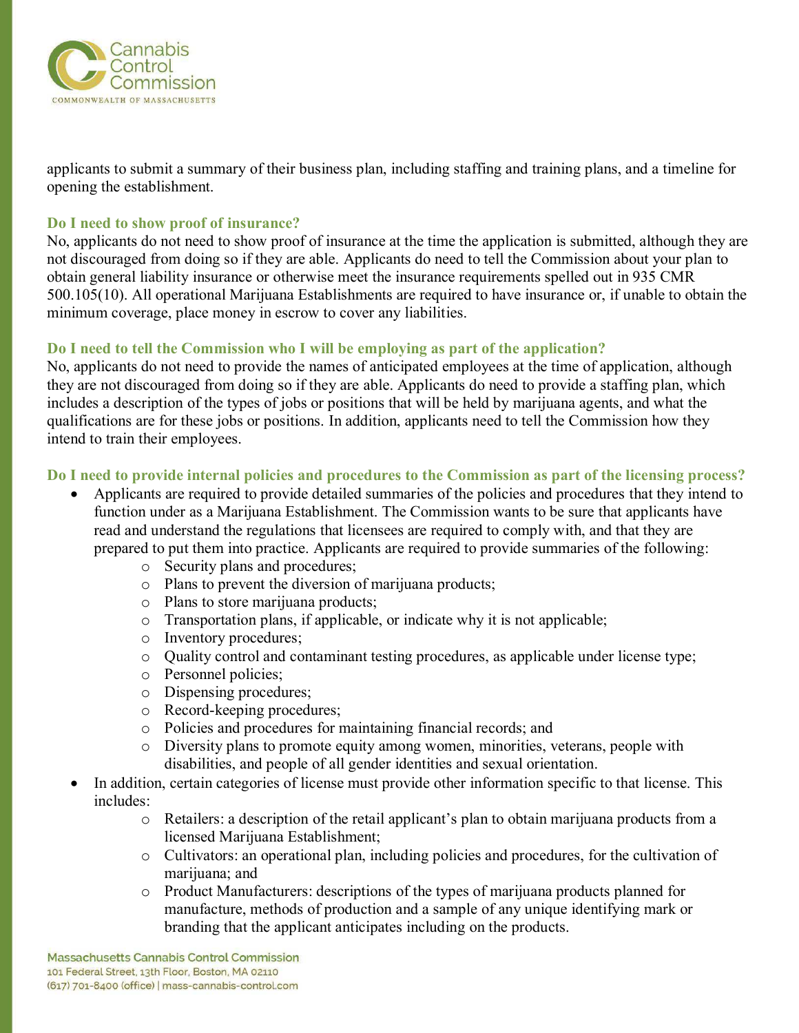

applicants to submit a summary of their business plan, including staffing and training plans, and a timeline for opening the establishment.

#### **Do I need to show proof of insurance?**

No, applicants do not need to show proof of insurance at the time the application is submitted, although they are not discouraged from doing so if they are able. Applicants do need to tell the Commission about your plan to obtain general liability insurance or otherwise meet the insurance requirements spelled out in 935 CMR 500.105(10). All operational Marijuana Establishments are required to have insurance or, if unable to obtain the minimum coverage, place money in escrow to cover any liabilities.

# **Do I need to tell the Commission who I will be employing as part of the application?**

No, applicants do not need to provide the names of anticipated employees at the time of application, although they are not discouraged from doing so if they are able. Applicants do need to provide a staffing plan, which includes a description of the types of jobs or positions that will be held by marijuana agents, and what the qualifications are for these jobs or positions. In addition, applicants need to tell the Commission how they intend to train their employees.

# **Do I need to provide internal policies and procedures to the Commission as part of the licensing process?**

- Applicants are required to provide detailed summaries of the policies and procedures that they intend to function under as a Marijuana Establishment. The Commission wants to be sure that applicants have read and understand the regulations that licensees are required to comply with, and that they are prepared to put them into practice. Applicants are required to provide summaries of the following:
	- o Security plans and procedures;
	- o Plans to prevent the diversion of marijuana products;
	- o Plans to store marijuana products;
	- o Transportation plans, if applicable, or indicate why it is not applicable;
	- o Inventory procedures;
	- o Quality control and contaminant testing procedures, as applicable under license type;
	- o Personnel policies;
	- o Dispensing procedures;
	- o Record-keeping procedures;
	- o Policies and procedures for maintaining financial records; and
	- o Diversity plans to promote equity among women, minorities, veterans, people with disabilities, and people of all gender identities and sexual orientation.
- In addition, certain categories of license must provide other information specific to that license. This includes:
	- o Retailers: a description of the retail applicant's plan to obtain marijuana products from a licensed Marijuana Establishment;
	- o Cultivators: an operational plan, including policies and procedures, for the cultivation of marijuana; and
	- o Product Manufacturers: descriptions of the types of marijuana products planned for manufacture, methods of production and a sample of any unique identifying mark or branding that the applicant anticipates including on the products.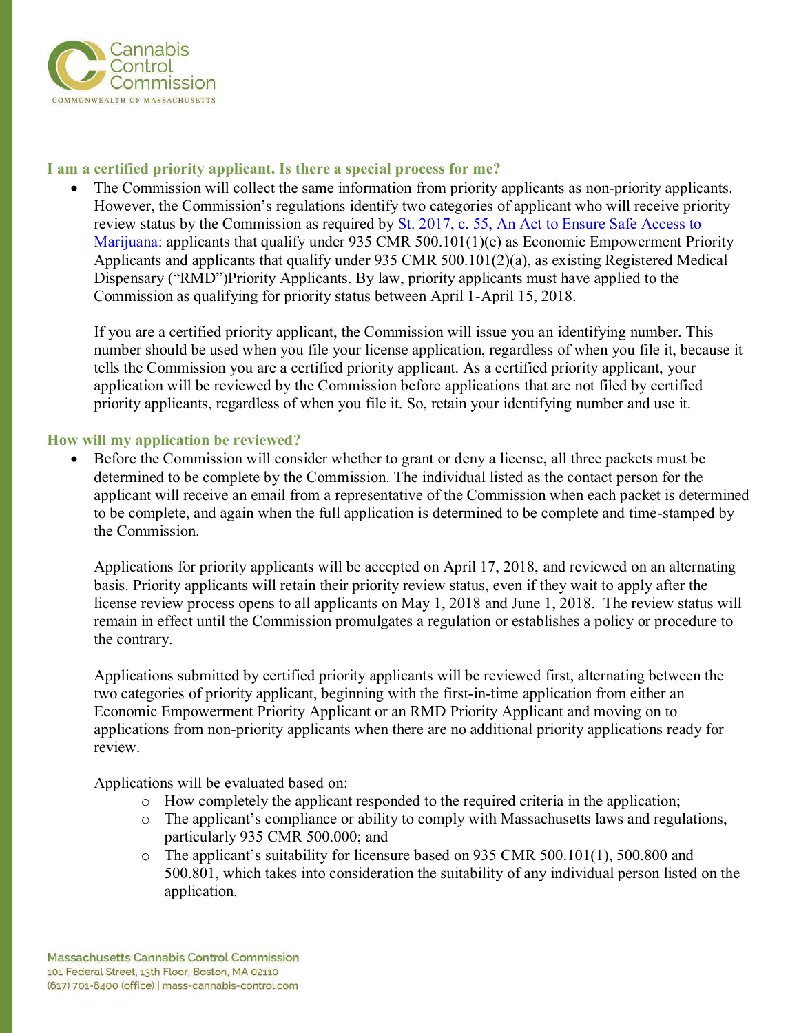

# **I am a certified priority applicant. Is there a special process for me?**

• The Commission will collect the same information from priority applicants as non-priority applicants. However, the Commission's regulations identify two categories of applicant who will receive priority review status by the Commission as required by [St.](file:///C:/Users/brmcbride/Desktop/Before%20the%20Commission%20will%20consider%20a%20license%20application,%20all%203%20packets%20must%20be%20determined%20to%20be%20complete%20by%20the%20Commission.%20%20Thhttps:/malegislature.gov/Laws/SessionLaws/Acts/2017/Chapter55) 2017, c. 55, An Act to Ensure Safe Access to Marijuana: applicants that qualify under 935 CMR 500.101(1)(e) as Economic Empowerment Priority Applicants and applicants that qualify under 935 CMR 500.101(2)(a), as existing Registered Medical Dispensary ("RMD")Priority Applicants. By law, priority applicants must have applied to the Commission as qualifying for priority status between April 1-April 15, 2018.

If you are a certified priority applicant, the Commission will issue you an identifying number. This number should be used when you file your license application, regardless of when you file it, because it tells the Commission you are a certified priority applicant. As a certified priority applicant, your application will be reviewed by the Commission before applications that are not filed by certified priority applicants, regardless of when you file it. So, retain your identifying number and use it.

# **How will my application be reviewed?**

• Before the Commission will consider whether to grant or deny a license, all three packets must be determined to be complete by the Commission. The individual listed as the contact person for the applicant will receive an email from a representative of the Commission when each packet is determined to be complete, and again when the full application is determined to be complete and time-stamped by the Commission.

Applications for priority applicants will be accepted on April 17, 2018, and reviewed on an alternating basis. Priority applicants will retain their priority review status, even if they wait to apply after the license review process opens to all applicants on May 1, 2018 and June 1, 2018. The review status will remain in effect until the Commission promulgates a regulation or establishes a policy or procedure to the contrary.

Applications submitted by certified priority applicants will be reviewed first, alternating between the two categories of priority applicant, beginning with the first-in-time application from either an Economic Empowerment Priority Applicant or an RMD Priority Applicant and moving on to applications from non-priority applicants when there are no additional priority applications ready for review.

Applications will be evaluated based on:

- $\circ$  How completely the applicant responded to the required criteria in the application;
- o The applicant's compliance or ability to comply with Massachusetts laws and regulations, particularly 935 CMR 500.000; and
- o The applicant's suitability for licensure based on 935 CMR 500.101(1), 500.800 and 500.801, which takes into consideration the suitability of any individual person listed on the application.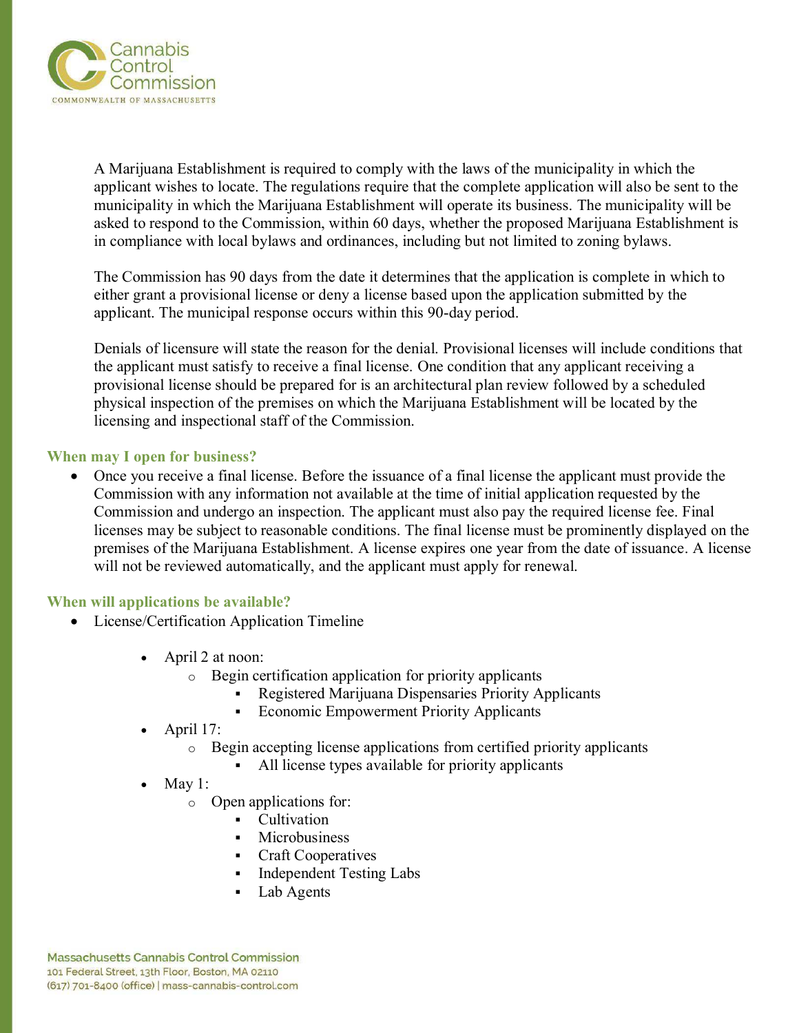

A Marijuana Establishment is required to comply with the laws of the municipality in which the applicant wishes to locate. The regulations require that the complete application will also be sent to the municipality in which the Marijuana Establishment will operate its business. The municipality will be asked to respond to the Commission, within 60 days, whether the proposed Marijuana Establishment is in compliance with local bylaws and ordinances, including but not limited to zoning bylaws.

The Commission has 90 days from the date it determines that the application is complete in which to either grant a provisional license or deny a license based upon the application submitted by the applicant. The municipal response occurs within this 90-day period.

Denials of licensure will state the reason for the denial. Provisional licenses will include conditions that the applicant must satisfy to receive a final license. One condition that any applicant receiving a provisional license should be prepared for is an architectural plan review followed by a scheduled physical inspection of the premises on which the Marijuana Establishment will be located by the licensing and inspectional staff of the Commission.

#### **When may I open for business?**

• Once you receive a final license. Before the issuance of a final license the applicant must provide the Commission with any information not available at the time of initial application requested by the Commission and undergo an inspection. The applicant must also pay the required license fee. Final licenses may be subject to reasonable conditions. The final license must be prominently displayed on the premises of the Marijuana Establishment. A license expires one year from the date of issuance. A license will not be reviewed automatically, and the applicant must apply for renewal.

#### **When will applications be available?**

- License/Certification Application Timeline
	- April 2 at noon:
		- o Begin certification application for priority applicants
			- Registered Marijuana Dispensaries Priority Applicants
			- **Economic Empowerment Priority Applicants**
	- April 17:
		- o Begin accepting license applications from certified priority applicants
			- All license types available for priority applicants
	- May 1:
		- o Open applications for:
			- Cultivation
			- **Microbusiness**
			- Craft Cooperatives
			- **Independent Testing Labs**
			- Lab Agents